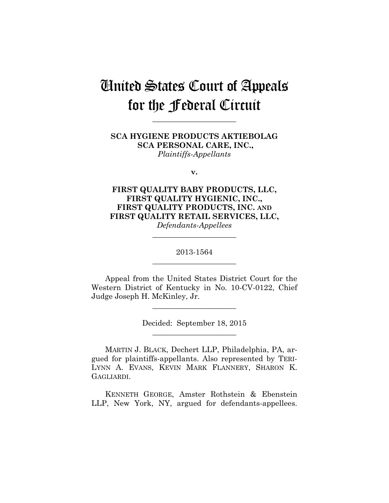# United States Court of Appeals for the Federal Circuit

**\_\_\_\_\_\_\_\_\_\_\_\_\_\_\_\_\_\_\_\_\_\_** 

**SCA HYGIENE PRODUCTS AKTIEBOLAG SCA PERSONAL CARE, INC.,** *Plaintiffs-Appellants*

**v.**

**FIRST QUALITY BABY PRODUCTS, LLC, FIRST QUALITY HYGIENIC, INC., FIRST QUALITY PRODUCTS, INC. AND FIRST QUALITY RETAIL SERVICES, LLC,** *Defendants-Appellees*

> 2013-1564 **\_\_\_\_\_\_\_\_\_\_\_\_\_\_\_\_\_\_\_\_\_\_**

> **\_\_\_\_\_\_\_\_\_\_\_\_\_\_\_\_\_\_\_\_\_\_**

Appeal from the United States District Court for the Western District of Kentucky in No. 10-CV-0122, Chief Judge Joseph H. McKinley, Jr.

**\_\_\_\_\_\_\_\_\_\_\_\_\_\_\_\_\_\_\_\_\_\_** 

Decided: September 18, 2015 **\_\_\_\_\_\_\_\_\_\_\_\_\_\_\_\_\_\_\_\_\_\_** 

MARTIN J. BLACK, Dechert LLP, Philadelphia, PA, argued for plaintiffs-appellants. Also represented by TERI-LYNN A. EVANS, KEVIN MARK FLANNERY, SHARON K. GAGLIARDI.

KENNETH GEORGE, Amster Rothstein & Ebenstein LLP, New York, NY, argued for defendants-appellees.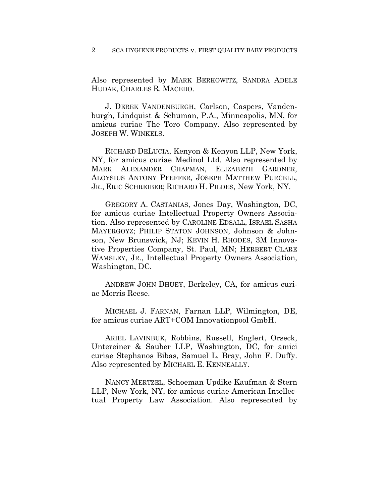#### 2 SCA HYGIENE PRODUCTS v. FIRST QUALITY BABY PRODUCTS

Also represented by MARK BERKOWITZ, SANDRA ADELE HUDAK, CHARLES R. MACEDO.

J. DEREK VANDENBURGH, Carlson, Caspers, Vandenburgh, Lindquist & Schuman, P.A., Minneapolis, MN, for amicus curiae The Toro Company. Also represented by JOSEPH W. WINKELS.

RICHARD DELUCIA, Kenyon & Kenyon LLP, New York, NY, for amicus curiae Medinol Ltd. Also represented by MARK ALEXANDER CHAPMAN, ELIZABETH GARDNER, ALOYSIUS ANTONY PFEFFER, JOSEPH MATTHEW PURCELL, JR., ERIC SCHREIBER; RICHARD H. PILDES, New York, NY.

GREGORY A. CASTANIAS, Jones Day, Washington, DC, for amicus curiae Intellectual Property Owners Association. Also represented by CAROLINE EDSALL, ISRAEL SASHA MAYERGOYZ; PHILIP STATON JOHNSON, Johnson & Johnson, New Brunswick, NJ; KEVIN H. RHODES, 3M Innovative Properties Company, St. Paul, MN; HERBERT CLARE WAMSLEY, JR., Intellectual Property Owners Association, Washington, DC.

ANDREW JOHN DHUEY, Berkeley, CA, for amicus curiae Morris Reese.

MICHAEL J. FARNAN, Farnan LLP, Wilmington, DE, for amicus curiae ART+COM Innovationpool GmbH.

ARIEL LAVINBUK, Robbins, Russell, Englert, Orseck, Untereiner & Sauber LLP, Washington, DC, for amici curiae Stephanos Bibas, Samuel L. Bray, John F. Duffy. Also represented by MICHAEL E. KENNEALLY.

NANCY MERTZEL, Schoeman Updike Kaufman & Stern LLP, New York, NY, for amicus curiae American Intellectual Property Law Association. Also represented by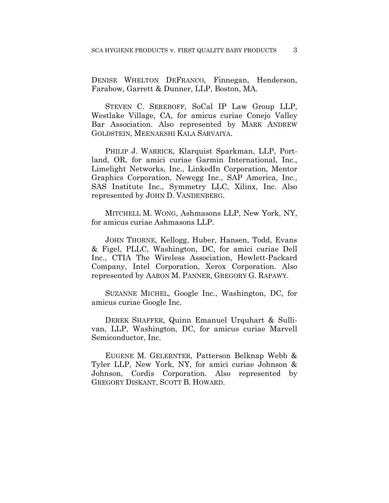DENISE WHELTON DEFRANCO, Finnegan, Henderson, Farabow, Garrett & Dunner, LLP, Boston, MA.

STEVEN C. SEREBOFF, SoCal IP Law Group LLP, Westlake Village, CA, for amicus curiae Conejo Valley Bar Association. Also represented by MARK ANDREW GOLDSTEIN, MEENAKSHI KALA SARVAIYA.

PHILIP J. WARRICK, Klarquist Sparkman, LLP, Portland, OR, for amici curiae Garmin International, Inc., Limelight Networks, Inc., LinkedIn Corporation, Mentor Graphics Corporation, Newegg Inc., SAP America, Inc., SAS Institute Inc., Symmetry LLC, Xilinx, Inc. Also represented by JOHN D. VANDENBERG.

MITCHELL M. WONG, Ashmasons LLP, New York, NY, for amicus curiae Ashmasons LLP.

JOHN THORNE, Kellogg, Huber, Hansen, Todd, Evans & Figel, PLLC, Washington, DC, for amici curiae Dell Inc., CTIA The Wireless Association, Hewlett-Packard Company, Intel Corporation, Xerox Corporation. Also represented by AARON M. PANNER, GREGORY G. RAPAWY.

SUZANNE MICHEL, Google Inc., Washington, DC, for amicus curiae Google Inc.

DEREK SHAFFER, Quinn Emanuel Urquhart & Sullivan, LLP, Washington, DC, for amicus curiae Marvell Semiconductor, Inc.

EUGENE M. GELERNTER, Patterson Belknap Webb & Tyler LLP, New York, NY, for amici curiae Johnson & Johnson, Cordis Corporation. Also represented by GREGORY DISKANT, SCOTT B. HOWARD.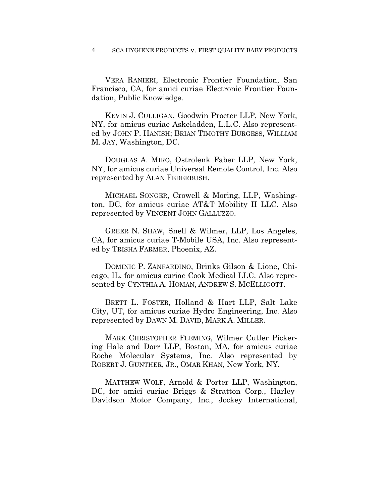#### 4 SCA HYGIENE PRODUCTS v. FIRST QUALITY BABY PRODUCTS

VERA RANIERI, Electronic Frontier Foundation, San Francisco, CA, for amici curiae Electronic Frontier Foundation, Public Knowledge.

KEVIN J. CULLIGAN, Goodwin Procter LLP, New York, NY, for amicus curiae Askeladden, L.L.C. Also represented by JOHN P. HANISH; BRIAN TIMOTHY BURGESS, WILLIAM M. JAY, Washington, DC.

DOUGLAS A. MIRO, Ostrolenk Faber LLP, New York, NY, for amicus curiae Universal Remote Control, Inc. Also represented by ALAN FEDERBUSH.

MICHAEL SONGER, Crowell & Moring, LLP, Washington, DC, for amicus curiae AT&T Mobility II LLC. Also represented by VINCENT JOHN GALLUZZO.

GREER N. SHAW, Snell & Wilmer, LLP, Los Angeles, CA, for amicus curiae T-Mobile USA, Inc. Also represented by TRISHA FARMER, Phoenix, AZ.

DOMINIC P. ZANFARDINO, Brinks Gilson & Lione, Chicago, IL, for amicus curiae Cook Medical LLC. Also represented by CYNTHIA A. HOMAN, ANDREW S. MCELLIGOTT.

BRETT L. FOSTER, Holland & Hart LLP, Salt Lake City, UT, for amicus curiae Hydro Engineering, Inc. Also represented by DAWN M. DAVID, MARK A. MILLER.

MARK CHRISTOPHER FLEMING, Wilmer Cutler Pickering Hale and Dorr LLP, Boston, MA, for amicus curiae Roche Molecular Systems, Inc. Also represented by ROBERT J. GUNTHER, JR., OMAR KHAN, New York, NY.

MATTHEW WOLF, Arnold & Porter LLP, Washington, DC, for amici curiae Briggs & Stratton Corp., Harley-Davidson Motor Company, Inc., Jockey International,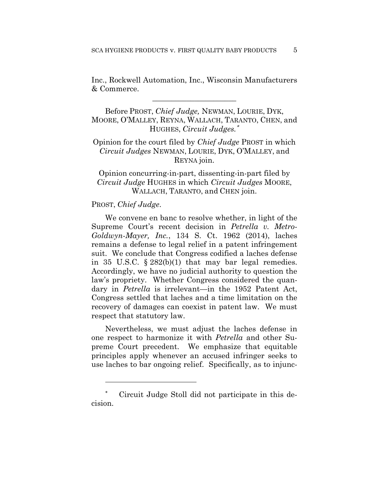Inc., Rockwell Automation, Inc., Wisconsin Manufacturers & Commerce.

**\_\_\_\_\_\_\_\_\_\_\_\_\_\_\_\_\_\_\_\_\_\_** 

Before PROST, *Chief Judge,* NEWMAN, LOURIE, DYK, MOORE, O'MALLEY, REYNA, WALLACH, TARANTO, CHEN, and HUGHES, *Circuit Judges.*<sup>∗</sup>

# Opinion for the court filed by *Chief Judge* PROST in which *Circuit Judges* NEWMAN, LOURIE, DYK, O'MALLEY, and REYNA join.

Opinion concurring-in-part, dissenting-in-part filed by *Circuit Judge* HUGHES in which *Circuit Judges* MOORE, WALLACH, TARANTO, and CHEN join.

## PROST, *Chief Judge*.

<u>.</u>

We convene en banc to resolve whether, in light of the Supreme Court's recent decision in *Petrella v. Metro-Goldwyn-Mayer, Inc.*, 134 S. Ct. 1962 (2014), laches remains a defense to legal relief in a patent infringement suit. We conclude that Congress codified a laches defense in 35 U.S.C. § 282(b)(1) that may bar legal remedies. Accordingly, we have no judicial authority to question the law's propriety. Whether Congress considered the quandary in *Petrella* is irrelevant—in the 1952 Patent Act, Congress settled that laches and a time limitation on the recovery of damages can coexist in patent law. We must respect that statutory law.

Nevertheless, we must adjust the laches defense in one respect to harmonize it with *Petrella* and other Supreme Court precedent. We emphasize that equitable principles apply whenever an accused infringer seeks to use laches to bar ongoing relief. Specifically, as to injunc-

Circuit Judge Stoll did not participate in this decision.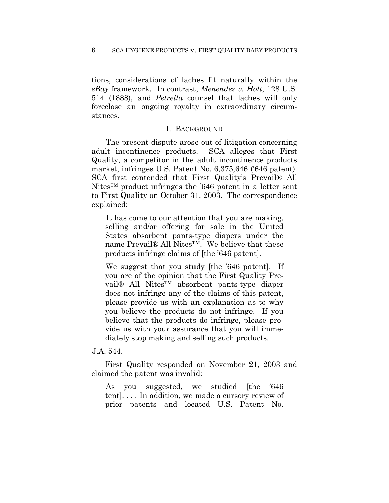tions, considerations of laches fit naturally within the *eBay* framework. In contrast, *Menendez v. Holt*, 128 U.S. 514 (1888), and *Petrella* counsel that laches will only foreclose an ongoing royalty in extraordinary circumstances.

## I. BACKGROUND

The present dispute arose out of litigation concerning adult incontinence products. SCA alleges that First Quality, a competitor in the adult incontinence products market, infringes U.S. Patent No. 6,375,646 ('646 patent). SCA first contended that First Quality's Prevail® All Nites™ product infringes the '646 patent in a letter sent to First Quality on October 31, 2003. The correspondence explained:

It has come to our attention that you are making, selling and/or offering for sale in the United States absorbent pants-type diapers under the name Prevail® All Nites™. We believe that these products infringe claims of [the '646 patent].

We suggest that you study [the '646 patent]. If you are of the opinion that the First Quality Prevail® All Nites™ absorbent pants-type diaper does not infringe any of the claims of this patent, please provide us with an explanation as to why you believe the products do not infringe. If you believe that the products do infringe, please provide us with your assurance that you will immediately stop making and selling such products.

J.A. 544.

First Quality responded on November 21, 2003 and claimed the patent was invalid:

As you suggested, we studied [the '646 tent]. . . . In addition, we made a cursory review of prior patents and located U.S. Patent No.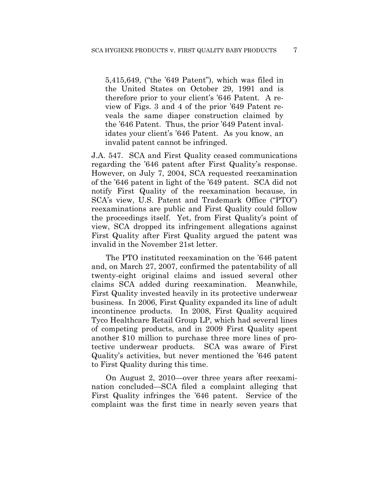5,415,649, ("the '649 Patent"), which was filed in the United States on October 29, 1991 and is therefore prior to your client's '646 Patent. A review of Figs. 3 and 4 of the prior '649 Patent reveals the same diaper construction claimed by the '646 Patent. Thus, the prior '649 Patent invalidates your client's '646 Patent. As you know, an invalid patent cannot be infringed.

J.A. 547. SCA and First Quality ceased communications regarding the '646 patent after First Quality's response. However, on July 7, 2004, SCA requested reexamination of the '646 patent in light of the '649 patent. SCA did not notify First Quality of the reexamination because, in SCA's view, U.S. Patent and Trademark Office ("PTO") reexaminations are public and First Quality could follow the proceedings itself. Yet, from First Quality's point of view, SCA dropped its infringement allegations against First Quality after First Quality argued the patent was invalid in the November 21st letter.

The PTO instituted reexamination on the '646 patent and, on March 27, 2007, confirmed the patentability of all twenty-eight original claims and issued several other claims SCA added during reexamination. Meanwhile, First Quality invested heavily in its protective underwear business. In 2006, First Quality expanded its line of adult incontinence products. In 2008, First Quality acquired Tyco Healthcare Retail Group LP, which had several lines of competing products, and in 2009 First Quality spent another \$10 million to purchase three more lines of protective underwear products. SCA was aware of First Quality's activities, but never mentioned the '646 patent to First Quality during this time.

On August 2, 2010—over three years after reexamination concluded—SCA filed a complaint alleging that First Quality infringes the '646 patent. Service of the complaint was the first time in nearly seven years that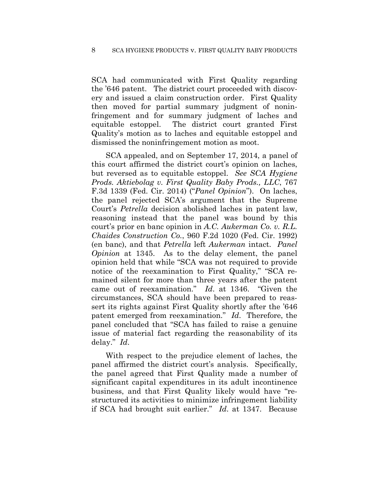SCA had communicated with First Quality regarding the '646 patent. The district court proceeded with discovery and issued a claim construction order. First Quality then moved for partial summary judgment of noninfringement and for summary judgment of laches and equitable estoppel. The district court granted First Quality's motion as to laches and equitable estoppel and dismissed the noninfringement motion as moot.

SCA appealed, and on September 17, 2014, a panel of this court affirmed the district court's opinion on laches, but reversed as to equitable estoppel. *See SCA Hygiene Prods. Aktiebolag v. First Quality Baby Prods., LLC*, 767 F.3d 1339 (Fed. Cir. 2014) ("*Panel Opinion*"). On laches, the panel rejected SCA's argument that the Supreme Court's *Petrella* decision abolished laches in patent law, reasoning instead that the panel was bound by this court's prior en banc opinion in *A.C. Aukerman Co. v. R.L. Chaides Construction Co.*, 960 F.2d 1020 (Fed. Cir. 1992) (en banc), and that *Petrella* left *Aukerman* intact. *Panel Opinion* at 1345. As to the delay element, the panel opinion held that while "SCA was not required to provide notice of the reexamination to First Quality," "SCA remained silent for more than three years after the patent came out of reexamination." *Id*. at 1346. "Given the circumstances, SCA should have been prepared to reassert its rights against First Quality shortly after the '646 patent emerged from reexamination." *Id*. Therefore, the panel concluded that "SCA has failed to raise a genuine issue of material fact regarding the reasonability of its delay." *Id*.

With respect to the prejudice element of laches, the panel affirmed the district court's analysis. Specifically, the panel agreed that First Quality made a number of significant capital expenditures in its adult incontinence business, and that First Quality likely would have "restructured its activities to minimize infringement liability if SCA had brought suit earlier." *Id*. at 1347. Because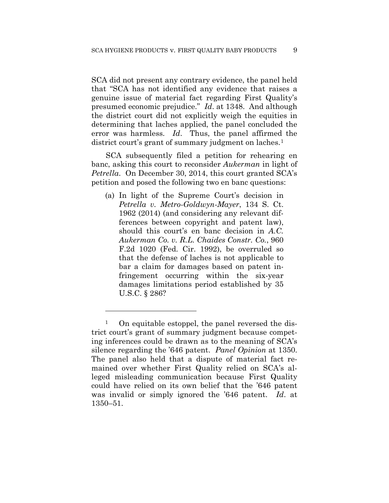SCA did not present any contrary evidence, the panel held that "SCA has not identified any evidence that raises a genuine issue of material fact regarding First Quality's presumed economic prejudice." *Id*. at 1348. And although the district court did not explicitly weigh the equities in determining that laches applied, the panel concluded the error was harmless. *Id*. Thus, the panel affirmed the district court's grant of summary judgment on laches.<sup>1</sup>

SCA subsequently filed a petition for rehearing en banc, asking this court to reconsider *Aukerman* in light of *Petrella*. On December 30, 2014, this court granted SCA's petition and posed the following two en banc questions:

(a) In light of the Supreme Court's decision in *Petrella v. Metro-Goldwyn-Mayer*, 134 S. Ct. 1962 (2014) (and considering any relevant differences between copyright and patent law), should this court's en banc decision in *A.C. Aukerman Co. v. R.L. Chaides Constr. Co.*, 960 F.2d 1020 (Fed. Cir. 1992), be overruled so that the defense of laches is not applicable to bar a claim for damages based on patent infringement occurring within the six-year damages limitations period established by 35 U.S.C. § 286?

1

<sup>&</sup>lt;sup>1</sup> On equitable estoppel, the panel reversed the district court's grant of summary judgment because competing inferences could be drawn as to the meaning of SCA's silence regarding the '646 patent. *Panel Opinion* at 1350. The panel also held that a dispute of material fact remained over whether First Quality relied on SCA's alleged misleading communication because First Quality could have relied on its own belief that the '646 patent was invalid or simply ignored the '646 patent. *Id*. at 1350–51.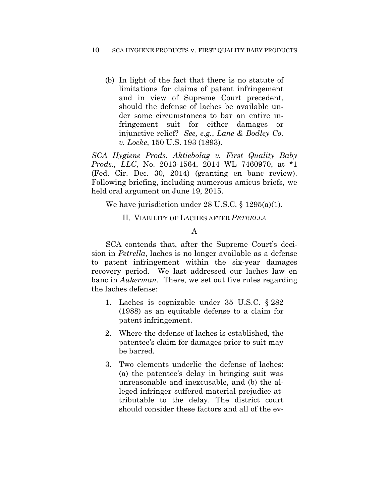(b) In light of the fact that there is no statute of limitations for claims of patent infringement and in view of Supreme Court precedent, should the defense of laches be available under some circumstances to bar an entire infringement suit for either damages or injunctive relief? *See, e.g.*, *Lane & Bodley Co. v. Locke*, 150 U.S. 193 (1893).

*SCA Hygiene Prods. Aktiebolag v. First Quality Baby Prods., LLC*, No. 2013-1564, 2014 WL 7460970, at \*1 (Fed. Cir. Dec. 30, 2014) (granting en banc review). Following briefing, including numerous amicus briefs, we held oral argument on June 19, 2015.

We have jurisdiction under 28 U.S.C. § 1295(a)(1).

## II. VIABILITY OF LACHES AFTER *PETRELLA*

## A

SCA contends that, after the Supreme Court's decision in *Petrella*, laches is no longer available as a defense to patent infringement within the six-year damages recovery period. We last addressed our laches law en banc in *Aukerman*. There, we set out five rules regarding the laches defense:

- 1. Laches is cognizable under 35 U.S.C. § 282 (1988) as an equitable defense to a claim for patent infringement.
- 2. Where the defense of laches is established, the patentee's claim for damages prior to suit may be barred.
- 3. Two elements underlie the defense of laches: (a) the patentee's delay in bringing suit was unreasonable and inexcusable, and (b) the alleged infringer suffered material prejudice attributable to the delay. The district court should consider these factors and all of the ev-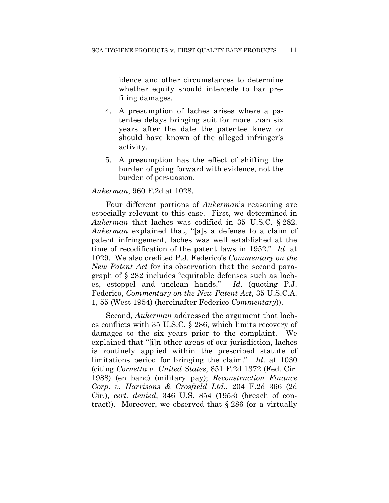idence and other circumstances to determine whether equity should intercede to bar prefiling damages.

- 4. A presumption of laches arises where a patentee delays bringing suit for more than six years after the date the patentee knew or should have known of the alleged infringer's activity.
- 5. A presumption has the effect of shifting the burden of going forward with evidence, not the burden of persuasion.

#### *Aukerman*, 960 F.2d at 1028.

Four different portions of *Aukerman*'s reasoning are especially relevant to this case. First, we determined in *Aukerman* that laches was codified in 35 U.S.C. § 282. *Aukerman* explained that, "[a]s a defense to a claim of patent infringement, laches was well established at the time of recodification of the patent laws in 1952." *Id*. at 1029. We also credited P.J. Federico's *Commentary on the New Patent Act* for its observation that the second paragraph of § 282 includes "equitable defenses such as laches, estoppel and unclean hands." *Id*. (quoting P.J. Federico, *Commentary on the New Patent Act*, 35 U.S.C.A. 1, 55 (West 1954) (hereinafter Federico *Commentary*)).

Second, *Aukerman* addressed the argument that laches conflicts with 35 U.S.C. § 286, which limits recovery of damages to the six years prior to the complaint. We explained that "[i]n other areas of our jurisdiction, laches is routinely applied within the prescribed statute of limitations period for bringing the claim." *Id*. at 1030 (citing *Cornetta v. United States*, 851 F.2d 1372 (Fed. Cir. 1988) (en banc) (military pay); *Reconstruction Finance Corp. v. Harrisons & Crosfield Ltd.*, 204 F.2d 366 (2d Cir.), *cert. denied*, 346 U.S. 854 (1953) (breach of contract)). Moreover, we observed that  $\S 286$  (or a virtually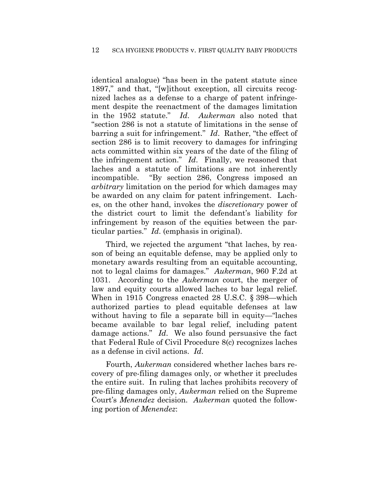identical analogue) "has been in the patent statute since 1897," and that, "[w]ithout exception, all circuits recognized laches as a defense to a charge of patent infringement despite the reenactment of the damages limitation in the 1952 statute." *Id*. *Aukerman* also noted that "section 286 is not a statute of limitations in the sense of barring a suit for infringement." *Id*. Rather, "the effect of section 286 is to limit recovery to damages for infringing acts committed within six years of the date of the filing of the infringement action." *Id*. Finally, we reasoned that laches and a statute of limitations are not inherently incompatible. "By section 286, Congress imposed an *arbitrary* limitation on the period for which damages may be awarded on any claim for patent infringement. Laches, on the other hand, invokes the *discretionary* power of the district court to limit the defendant's liability for infringement by reason of the equities between the particular parties." *Id*. (emphasis in original).

Third, we rejected the argument "that laches, by reason of being an equitable defense, may be applied only to monetary awards resulting from an equitable accounting, not to legal claims for damages." *Aukerman*, 960 F.2d at 1031. According to the *Aukerman* court, the merger of law and equity courts allowed laches to bar legal relief. When in 1915 Congress enacted 28 U.S.C. § 398—which authorized parties to plead equitable defenses at law without having to file a separate bill in equity—"laches became available to bar legal relief, including patent damage actions." *Id*. We also found persuasive the fact that Federal Rule of Civil Procedure 8(c) recognizes laches as a defense in civil actions. *Id*.

Fourth, *Aukerman* considered whether laches bars recovery of pre-filing damages only, or whether it precludes the entire suit. In ruling that laches prohibits recovery of pre-filing damages only, *Aukerman* relied on the Supreme Court's *Menendez* decision. *Aukerman* quoted the following portion of *Menendez*: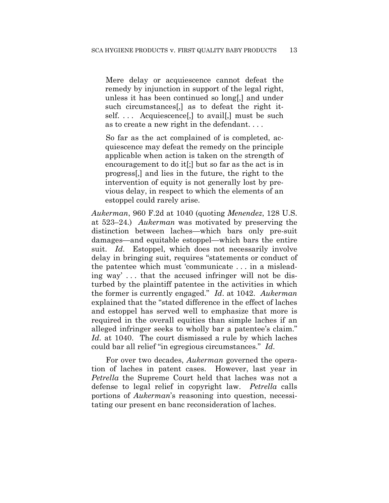Mere delay or acquiescence cannot defeat the remedy by injunction in support of the legal right, unless it has been continued so long[,] and under such circumstances[,] as to defeat the right itself.... Acquiescence, to avail, must be such as to create a new right in the defendant. . . .

So far as the act complained of is completed, acquiescence may defeat the remedy on the principle applicable when action is taken on the strength of encouragement to do it[;] but so far as the act is in progress[,] and lies in the future, the right to the intervention of equity is not generally lost by previous delay, in respect to which the elements of an estoppel could rarely arise.

*Aukerman*, 960 F.2d at 1040 (quoting *Menendez*, 128 U.S. at 523–24.) *Aukerman* was motivated by preserving the distinction between laches—which bars only pre-suit damages—and equitable estoppel—which bars the entire suit. *Id.* Estoppel, which does not necessarily involve delay in bringing suit, requires "statements or conduct of the patentee which must 'communicate . . . in a misleading way' . . . that the accused infringer will not be disturbed by the plaintiff patentee in the activities in which the former is currently engaged." *Id*. at 1042. *Aukerman* explained that the "stated difference in the effect of laches and estoppel has served well to emphasize that more is required in the overall equities than simple laches if an alleged infringer seeks to wholly bar a patentee's claim." *Id*. at 1040. The court dismissed a rule by which laches could bar all relief "in egregious circumstances." *Id*.

For over two decades, *Aukerman* governed the operation of laches in patent cases. However, last year in *Petrella* the Supreme Court held that laches was not a defense to legal relief in copyright law. *Petrella* calls portions of *Aukerman*'s reasoning into question, necessitating our present en banc reconsideration of laches.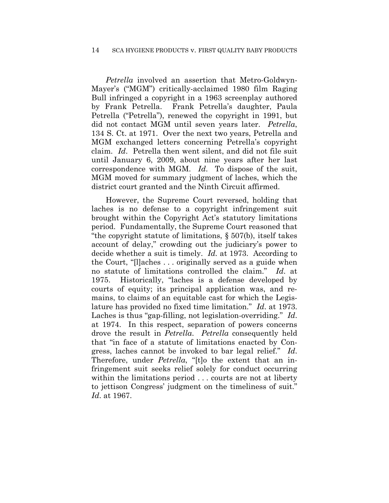#### 14 SCA HYGIENE PRODUCTS v. FIRST QUALITY BABY PRODUCTS

*Petrella* involved an assertion that Metro-Goldwyn-Mayer's ("MGM") critically-acclaimed 1980 film Raging Bull infringed a copyright in a 1963 screenplay authored by Frank Petrella. Frank Petrella's daughter, Paula Petrella ("Petrella"), renewed the copyright in 1991, but did not contact MGM until seven years later. *Petrella*, 134 S. Ct. at 1971. Over the next two years, Petrella and MGM exchanged letters concerning Petrella's copyright claim. *Id*. Petrella then went silent, and did not file suit until January 6, 2009, about nine years after her last correspondence with MGM. *Id*. To dispose of the suit, MGM moved for summary judgment of laches, which the district court granted and the Ninth Circuit affirmed.

However, the Supreme Court reversed, holding that laches is no defense to a copyright infringement suit brought within the Copyright Act's statutory limitations period. Fundamentally, the Supreme Court reasoned that "the copyright statute of limitations, § 507(b), itself takes account of delay," crowding out the judiciary's power to decide whether a suit is timely. *Id.* at 1973. According to the Court, "[l]aches . . . originally served as a guide when no statute of limitations controlled the claim." *Id*. at 1975. Historically, "laches is a defense developed by courts of equity; its principal application was, and remains, to claims of an equitable cast for which the Legislature has provided no fixed time limitation." *Id*. at 1973. Laches is thus "gap-filling, not legislation-overriding." *Id*. at 1974. In this respect, separation of powers concerns drove the result in *Petrella*. *Petrella* consequently held that "in face of a statute of limitations enacted by Congress, laches cannot be invoked to bar legal relief." *Id*. Therefore, under *Petrella*, "[t]o the extent that an infringement suit seeks relief solely for conduct occurring within the limitations period . . . courts are not at liberty to jettison Congress' judgment on the timeliness of suit." *Id*. at 1967.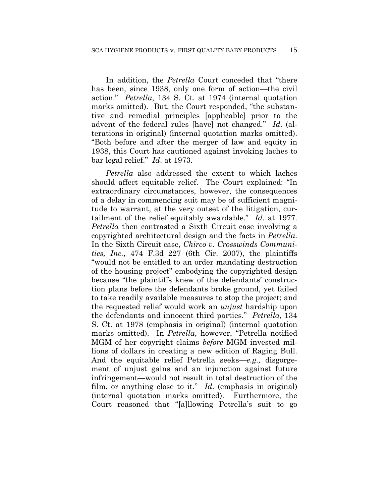In addition, the *Petrella* Court conceded that "there has been, since 1938, only one form of action—the civil action." *Petrella*, 134 S. Ct. at 1974 (internal quotation marks omitted). But, the Court responded, "the substantive and remedial principles [applicable] prior to the advent of the federal rules [have] not changed." *Id*. (alterations in original) (internal quotation marks omitted). "Both before and after the merger of law and equity in 1938, this Court has cautioned against invoking laches to bar legal relief." *Id*. at 1973.

*Petrella* also addressed the extent to which laches should affect equitable relief. The Court explained: "In extraordinary circumstances, however, the consequences of a delay in commencing suit may be of sufficient magnitude to warrant, at the very outset of the litigation, curtailment of the relief equitably awardable." *Id*. at 1977. *Petrella* then contrasted a Sixth Circuit case involving a copyrighted architectural design and the facts in *Petrella*. In the Sixth Circuit case, *Chirco v. Crosswinds Communities, Inc.*, 474 F.3d 227 (6th Cir. 2007), the plaintiffs "would not be entitled to an order mandating destruction of the housing project" embodying the copyrighted design because "the plaintiffs knew of the defendants' construction plans before the defendants broke ground, yet failed to take readily available measures to stop the project; and the requested relief would work an *unjust* hardship upon the defendants and innocent third parties." *Petrella*, 134 S. Ct. at 1978 (emphasis in original) (internal quotation marks omitted). In *Petrella*, however, "Petrella notified MGM of her copyright claims *before* MGM invested millions of dollars in creating a new edition of Raging Bull. And the equitable relief Petrella seeks—*e.g.,* disgorgement of unjust gains and an injunction against future infringement—would not result in total destruction of the film, or anything close to it." *Id*. (emphasis in original) (internal quotation marks omitted). Furthermore, the Court reasoned that "[a]llowing Petrella's suit to go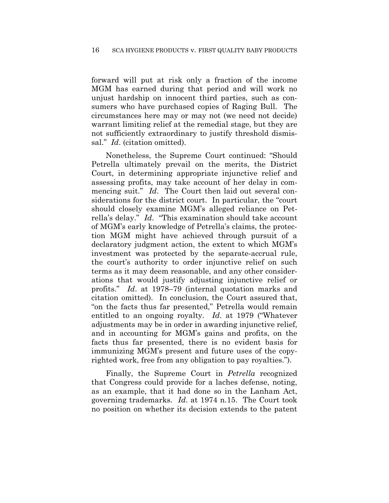forward will put at risk only a fraction of the income MGM has earned during that period and will work no unjust hardship on innocent third parties, such as consumers who have purchased copies of Raging Bull. The circumstances here may or may not (we need not decide) warrant limiting relief at the remedial stage, but they are not sufficiently extraordinary to justify threshold dismissal." *Id*. (citation omitted).

Nonetheless, the Supreme Court continued: "Should Petrella ultimately prevail on the merits, the District Court, in determining appropriate injunctive relief and assessing profits, may take account of her delay in commencing suit." *Id*. The Court then laid out several considerations for the district court. In particular, the "court should closely examine MGM's alleged reliance on Petrella's delay." *Id*. "This examination should take account of MGM's early knowledge of Petrella's claims, the protection MGM might have achieved through pursuit of a declaratory judgment action, the extent to which MGM's investment was protected by the separate-accrual rule, the court's authority to order injunctive relief on such terms as it may deem reasonable, and any other considerations that would justify adjusting injunctive relief or profits." *Id*. at 1978–79 (internal quotation marks and citation omitted). In conclusion, the Court assured that, "on the facts thus far presented," Petrella would remain entitled to an ongoing royalty. *Id*. at 1979 ("Whatever adjustments may be in order in awarding injunctive relief, and in accounting for MGM's gains and profits, on the facts thus far presented, there is no evident basis for immunizing MGM's present and future uses of the copyrighted work, free from any obligation to pay royalties.").

Finally, the Supreme Court in *Petrella* recognized that Congress could provide for a laches defense, noting, as an example, that it had done so in the Lanham Act, governing trademarks. *Id*. at 1974 n.15. The Court took no position on whether its decision extends to the patent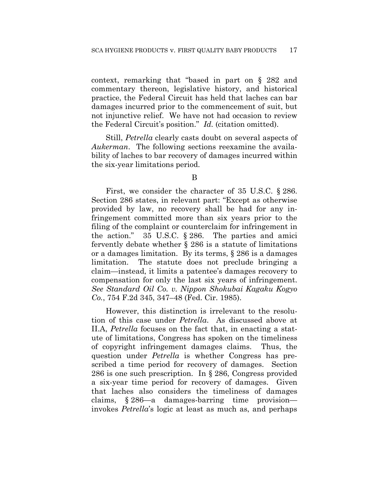context, remarking that "based in part on § 282 and commentary thereon, legislative history, and historical practice, the Federal Circuit has held that laches can bar damages incurred prior to the commencement of suit, but not injunctive relief. We have not had occasion to review the Federal Circuit's position." *Id.* (citation omitted).

Still, *Petrella* clearly casts doubt on several aspects of *Aukerman*. The following sections reexamine the availability of laches to bar recovery of damages incurred within the six-year limitations period.

### B

First, we consider the character of 35 U.S.C. § 286. Section 286 states, in relevant part: "Except as otherwise provided by law, no recovery shall be had for any infringement committed more than six years prior to the filing of the complaint or counterclaim for infringement in the action." 35 U.S.C. § 286. The parties and amici fervently debate whether § 286 is a statute of limitations or a damages limitation. By its terms, § 286 is a damages limitation. The statute does not preclude bringing a claim—instead, it limits a patentee's damages recovery to compensation for only the last six years of infringement. *See Standard Oil Co. v. Nippon Shokubai Kagaku Kogyo Co.*, 754 F.2d 345, 347–48 (Fed. Cir. 1985).

However, this distinction is irrelevant to the resolution of this case under *Petrella*.As discussed above at II.A, *Petrella* focuses on the fact that, in enacting a statute of limitations, Congress has spoken on the timeliness of copyright infringement damages claims. Thus, the question under *Petrella* is whether Congress has prescribed a time period for recovery of damages. Section 286 is one such prescription. In § 286, Congress provided a six-year time period for recovery of damages. Given that laches also considers the timeliness of damages claims, § 286—a damages-barring time provision invokes *Petrella*'s logic at least as much as, and perhaps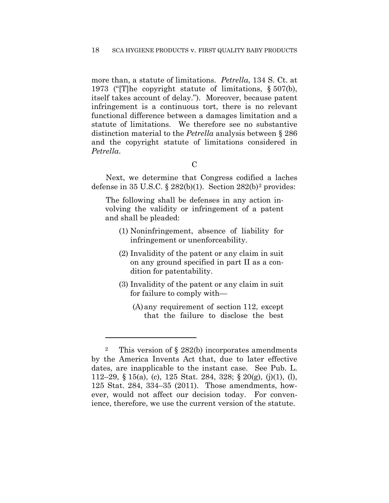more than, a statute of limitations. *Petrella*, 134 S. Ct. at 1973 ("[T]he copyright statute of limitations, § 507(b), itself takes account of delay."). Moreover, because patent infringement is a continuous tort, there is no relevant functional difference between a damages limitation and a statute of limitations. We therefore see no substantive distinction material to the *Petrella* analysis between § 286 and the copyright statute of limitations considered in *Petrella*.

Next, we determine that Congress codified a laches defense in  $35 \text{ U.S.C.}$  §  $282(b)(1)$ . Section  $282(b)^2$  provides:

The following shall be defenses in any action involving the validity or infringement of a patent and shall be pleaded:

- (1) Noninfringement, absence of liability for infringement or unenforceability.
- (2) Invalidity of the patent or any claim in suit on any ground specified in part II as a condition for patentability.
- (3) Invalidity of the patent or any claim in suit for failure to comply with—
	- (A)any requirement of section 112, except that the failure to disclose the best

1

<sup>&</sup>lt;sup>2</sup> This version of  $\S$  282(b) incorporates amendments by the America Invents Act that, due to later effective dates, are inapplicable to the instant case. See Pub. L. 112–29, § 15(a), (c), 125 Stat. 284, 328; § 20(g), (j)(1), (l), 125 Stat. 284, 334–35 (2011). Those amendments, however, would not affect our decision today. For convenience, therefore, we use the current version of the statute.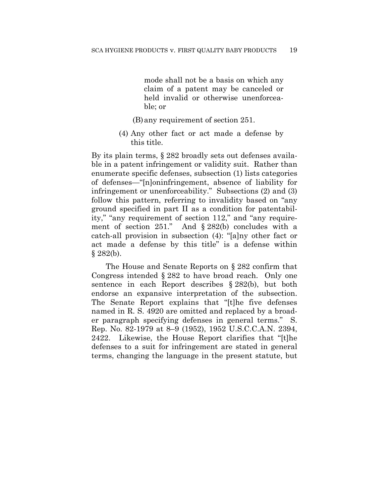mode shall not be a basis on which any claim of a patent may be canceled or held invalid or otherwise unenforceable; or

- (B)any requirement of section 251.
- (4) Any other fact or act made a defense by this title.

By its plain terms, § 282 broadly sets out defenses available in a patent infringement or validity suit. Rather than enumerate specific defenses, subsection (1) lists categories of defenses—"[n]oninfringement, absence of liability for infringement or unenforceability." Subsections (2) and (3) follow this pattern, referring to invalidity based on "any ground specified in part II as a condition for patentability," "any requirement of section 112," and "any requirement of section 251." And § 282(b) concludes with a catch-all provision in subsection (4): "[a]ny other fact or act made a defense by this title" is a defense within  $§ 282(b).$ 

The House and Senate Reports on § 282 confirm that Congress intended § 282 to have broad reach. Only one sentence in each Report describes § 282(b), but both endorse an expansive interpretation of the subsection. The Senate Report explains that "[t]he five defenses named in R. S. 4920 are omitted and replaced by a broader paragraph specifying defenses in general terms." S. Rep. No. 82-1979 at 8–9 (1952), 1952 U.S.C.C.A.N. 2394, 2422. Likewise, the House Report clarifies that "[t]he defenses to a suit for infringement are stated in general terms, changing the language in the present statute, but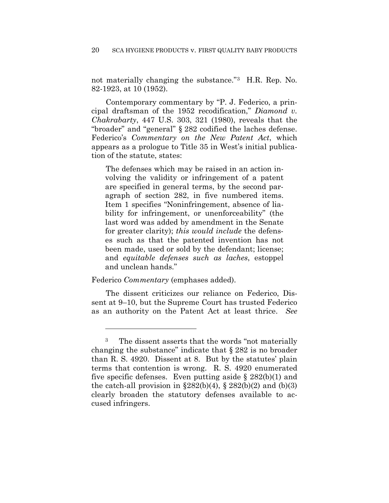not materially changing the substance."3 H.R. Rep. No. 82-1923, at 10 (1952).

Contemporary commentary by "P. J. Federico, a principal draftsman of the 1952 recodification," *Diamond v. Chakrabarty*, 447 U.S. 303, 321 (1980), reveals that the "broader" and "general" § 282 codified the laches defense. Federico's *Commentary on the New Patent Act*, which appears as a prologue to Title 35 in West's initial publication of the statute, states:

The defenses which may be raised in an action involving the validity or infringement of a patent are specified in general terms, by the second paragraph of section 282, in five numbered items. Item 1 specifies "Noninfringement, absence of liability for infringement, or unenforceability" (the last word was added by amendment in the Senate for greater clarity); *this would include* the defenses such as that the patented invention has not been made, used or sold by the defendant; license; and *equitable defenses such as laches*, estoppel and unclean hands."

#### Federico *Commentary* (emphases added).

<u>.</u>

The dissent criticizes our reliance on Federico, Dissent at 9–10, but the Supreme Court has trusted Federico as an authority on the Patent Act at least thrice. *See*

<sup>3</sup> The dissent asserts that the words "not materially changing the substance" indicate that § 282 is no broader than R. S. 4920. Dissent at 8. But by the statutes' plain terms that contention is wrong. R. S. 4920 enumerated five specific defenses. Even putting aside  $\S 282(b)(1)$  and the catch-all provision in  $\S 282(b)(4)$ ,  $\S 282(b)(2)$  and  $(b)(3)$ clearly broaden the statutory defenses available to accused infringers.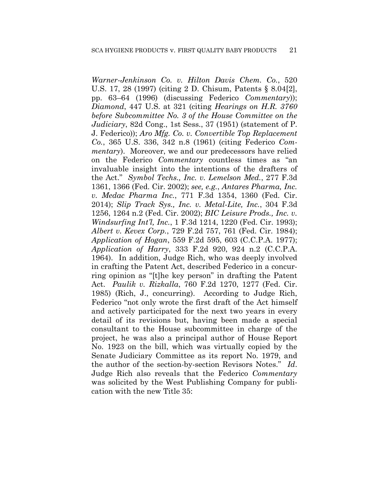*Warner-Jenkinson Co. v. Hilton Davis Chem. Co.*, 520 U.S. 17, 28 (1997) (citing 2 D. Chisum, Patents § 8.04[2], pp. 63–64 (1996) (discussing Federico *Commentary*)); *Diamond*, 447 U.S. at 321 (citing *Hearings on H.R. 3760 before Subcommittee No. 3 of the House Committee on the Judiciary*, 82d Cong., 1st Sess., 37 (1951) (statement of P. J. Federico)); *Aro Mfg. Co. v. Convertible Top Replacement Co.*, 365 U.S. 336, 342 n.8 (1961) (citing Federico *Commentary*). Moreover, we and our predecessors have relied on the Federico *Commentary* countless times as "an invaluable insight into the intentions of the drafters of the Act." *Symbol Techs., Inc. v. Lemelson Med.*, 277 F.3d 1361, 1366 (Fed. Cir. 2002); *see, e.g.*, *Antares Pharma, Inc. v. Medac Pharma Inc.*, 771 F.3d 1354, 1360 (Fed. Cir. 2014); *Slip Track Sys., Inc. v. Metal-Lite, Inc.*, 304 F.3d 1256, 1264 n.2 (Fed. Cir. 2002); *BIC Leisure Prods., Inc. v. Windsurfing Int'l, Inc.*, 1 F.3d 1214, 1220 (Fed. Cir. 1993); *Albert v. Kevex Corp.*, 729 F.2d 757, 761 (Fed. Cir. 1984); *Application of Hogan*, 559 F.2d 595, 603 (C.C.P.A. 1977); *Application of Harry*, 333 F.2d 920, 924 n.2 (C.C.P.A. 1964). In addition, Judge Rich, who was deeply involved in crafting the Patent Act, described Federico in a concurring opinion as "[t]he key person" in drafting the Patent Act. *Paulik v. Rizkalla*, 760 F.2d 1270, 1277 (Fed. Cir. 1985) (Rich, J., concurring). According to Judge Rich, Federico "not only wrote the first draft of the Act himself and actively participated for the next two years in every detail of its revisions but, having been made a special consultant to the House subcommittee in charge of the project, he was also a principal author of House Report No. 1923 on the bill, which was virtually copied by the Senate Judiciary Committee as its report No. 1979, and the author of the section-by-section Revisors Notes." *Id*. Judge Rich also reveals that the Federico *Commentary* was solicited by the West Publishing Company for publication with the new Title 35: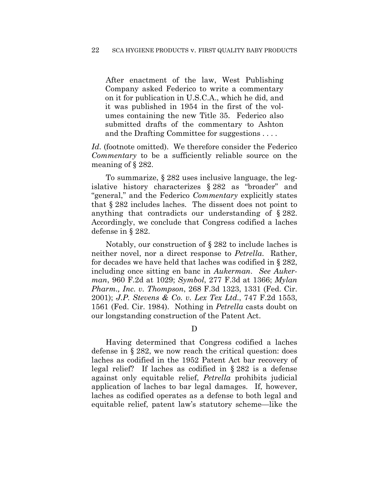After enactment of the law, West Publishing Company asked Federico to write a commentary on it for publication in U.S.C.A., which he did, and it was published in 1954 in the first of the volumes containing the new Title 35. Federico also submitted drafts of the commentary to Ashton and the Drafting Committee for suggestions . . . .

*Id*. (footnote omitted). We therefore consider the Federico *Commentary* to be a sufficiently reliable source on the meaning of § 282.

To summarize, § 282 uses inclusive language, the legislative history characterizes § 282 as "broader" and "general," and the Federico *Commentary* explicitly states that § 282 includes laches. The dissent does not point to anything that contradicts our understanding of § 282. Accordingly, we conclude that Congress codified a laches defense in § 282.

Notably, our construction of § 282 to include laches is neither novel, nor a direct response to *Petrella*. Rather, for decades we have held that laches was codified in § 282, including once sitting en banc in *Aukerman*. *See Aukerman*, 960 F.2d at 1029; *Symbol*, 277 F.3d at 1366; *Mylan Pharm., Inc. v. Thompson*, 268 F.3d 1323, 1331 (Fed. Cir. 2001); *J.P. Stevens & Co. v. Lex Tex Ltd.*, 747 F.2d 1553, 1561 (Fed. Cir. 1984). Nothing in *Petrella* casts doubt on our longstanding construction of the Patent Act.

D

Having determined that Congress codified a laches defense in § 282, we now reach the critical question: does laches as codified in the 1952 Patent Act bar recovery of legal relief? If laches as codified in § 282 is a defense against only equitable relief, *Petrella* prohibits judicial application of laches to bar legal damages. If, however, laches as codified operates as a defense to both legal and equitable relief, patent law's statutory scheme—like the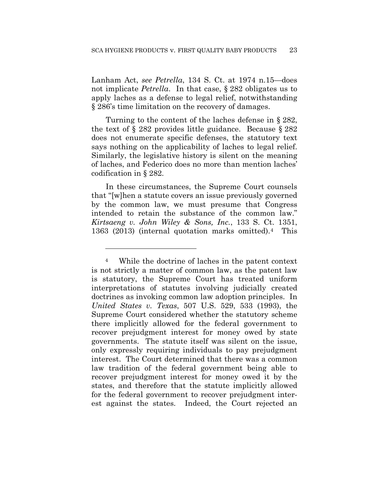Lanham Act, *see Petrella*, 134 S. Ct. at 1974 n.15—does not implicate *Petrella*. In that case, § 282 obligates us to apply laches as a defense to legal relief, notwithstanding § 286's time limitation on the recovery of damages.

Turning to the content of the laches defense in § 282, the text of § 282 provides little guidance. Because § 282 does not enumerate specific defenses, the statutory text says nothing on the applicability of laches to legal relief. Similarly, the legislative history is silent on the meaning of laches, and Federico does no more than mention laches' codification in § 282.

In these circumstances, the Supreme Court counsels that "[w]hen a statute covers an issue previously governed by the common law, we must presume that Congress intended to retain the substance of the common law." *Kirtsaeng v. John Wiley & Sons, Inc.*, 133 S. Ct. 1351, 1363 (2013) (internal quotation marks omitted).4 This

<u>.</u>

<sup>4</sup> While the doctrine of laches in the patent context is not strictly a matter of common law, as the patent law is statutory, the Supreme Court has treated uniform interpretations of statutes involving judicially created doctrines as invoking common law adoption principles. In *United States v. Texas*, 507 U.S. 529, 533 (1993), the Supreme Court considered whether the statutory scheme there implicitly allowed for the federal government to recover prejudgment interest for money owed by state governments. The statute itself was silent on the issue, only expressly requiring individuals to pay prejudgment interest. The Court determined that there was a common law tradition of the federal government being able to recover prejudgment interest for money owed it by the states, and therefore that the statute implicitly allowed for the federal government to recover prejudgment interest against the states. Indeed, the Court rejected an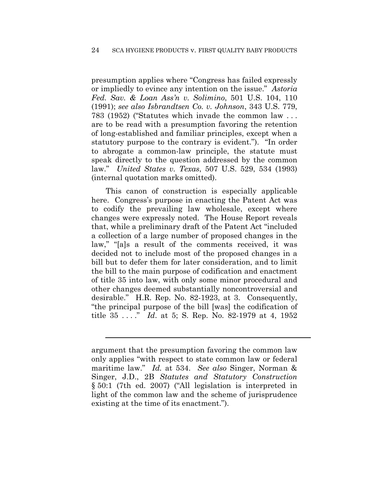presumption applies where "Congress has failed expressly or impliedly to evince any intention on the issue." *Astoria Fed. Sav. & Loan Ass'n v. Solimino*, 501 U.S. 104, 110 (1991); *see also Isbrandtsen Co. v. Johnson*, 343 U.S. 779, 783 (1952) ("Statutes which invade the common law . . . are to be read with a presumption favoring the retention of long-established and familiar principles, except when a statutory purpose to the contrary is evident."). "In order to abrogate a common-law principle, the statute must speak directly to the question addressed by the common law." *United States v. Texas*, 507 U.S. 529, 534 (1993) (internal quotation marks omitted).

This canon of construction is especially applicable here. Congress's purpose in enacting the Patent Act was to codify the prevailing law wholesale, except where changes were expressly noted. The House Report reveals that, while a preliminary draft of the Patent Act "included a collection of a large number of proposed changes in the law," "[a]s a result of the comments received, it was decided not to include most of the proposed changes in a bill but to defer them for later consideration, and to limit the bill to the main purpose of codification and enactment of title 35 into law, with only some minor procedural and other changes deemed substantially noncontroversial and desirable." H.R. Rep. No. 82-1923, at 3. Consequently, "the principal purpose of the bill [was] the codification of title 35 . . . ." *Id*. at 5; S. Rep. No. 82-1979 at 4, 1952

l

argument that the presumption favoring the common law only applies "with respect to state common law or federal maritime law." *Id.* at 534. *See also* Singer, Norman & Singer, J.D., 2B *Statutes and Statutory Construction* § 50:1 (7th ed. 2007) ("All legislation is interpreted in light of the common law and the scheme of jurisprudence existing at the time of its enactment.").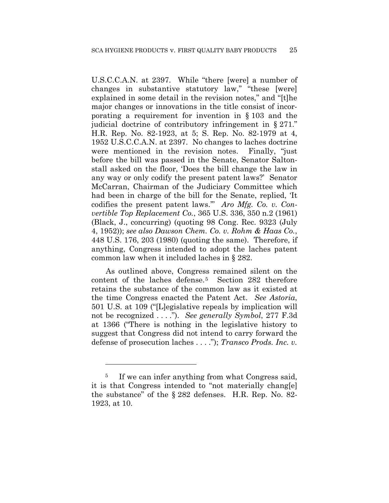U.S.C.C.A.N. at 2397. While "there [were] a number of changes in substantive statutory law," "these [were] explained in some detail in the revision notes," and "[t]he major changes or innovations in the title consist of incorporating a requirement for invention in § 103 and the judicial doctrine of contributory infringement in § 271." H.R. Rep. No. 82-1923, at 5; S. Rep. No. 82-1979 at 4, 1952 U.S.C.C.A.N. at 2397. No changes to laches doctrine were mentioned in the revision notes. Finally, "just before the bill was passed in the Senate, Senator Saltonstall asked on the floor, 'Does the bill change the law in any way or only codify the present patent laws?' Senator McCarran, Chairman of the Judiciary Committee which had been in charge of the bill for the Senate, replied, 'It codifies the present patent laws.'" *Aro Mfg. Co. v. Convertible Top Replacement Co.*, 365 U.S. 336, 350 n.2 (1961) (Black, J., concurring) (quoting 98 Cong. Rec. 9323 (July 4, 1952)); *see also Dawson Chem. Co. v. Rohm & Haas Co.*, 448 U.S. 176, 203 (1980) (quoting the same). Therefore, if anything, Congress intended to adopt the laches patent common law when it included laches in § 282.

As outlined above, Congress remained silent on the content of the laches defense.5 Section 282 therefore retains the substance of the common law as it existed at the time Congress enacted the Patent Act. *See Astoria*, 501 U.S. at 109 ("[L]egislative repeals by implication will not be recognized . . . ."). *See generally Symbol*, 277 F.3d at 1366 ("There is nothing in the legislative history to suggest that Congress did not intend to carry forward the defense of prosecution laches . . . ."); *Transco Prods. Inc. v.* 

1

<sup>&</sup>lt;sup>5</sup> If we can infer anything from what Congress said, it is that Congress intended to "not materially chang[e] the substance" of the § 282 defenses. H.R. Rep. No. 82- 1923, at 10.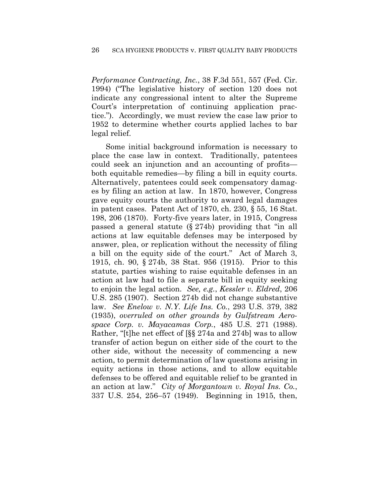*Performance Contracting, Inc.*, 38 F.3d 551, 557 (Fed. Cir. 1994) ("The legislative history of section 120 does not indicate any congressional intent to alter the Supreme Court's interpretation of continuing application practice."). Accordingly, we must review the case law prior to 1952 to determine whether courts applied laches to bar legal relief.

Some initial background information is necessary to place the case law in context. Traditionally, patentees could seek an injunction and an accounting of profits both equitable remedies—by filing a bill in equity courts. Alternatively, patentees could seek compensatory damages by filing an action at law. In 1870, however, Congress gave equity courts the authority to award legal damages in patent cases. Patent Act of 1870, ch. 230, § 55, 16 Stat. 198, 206 (1870). Forty-five years later, in 1915, Congress passed a general statute (§ 274b) providing that "in all actions at law equitable defenses may be interposed by answer, plea, or replication without the necessity of filing a bill on the equity side of the court." Act of March 3, 1915, ch. 90, § 274b, 38 Stat. 956 (1915). Prior to this statute, parties wishing to raise equitable defenses in an action at law had to file a separate bill in equity seeking to enjoin the legal action. *See, e.g.*, *Kessler v. Eldred*, 206 U.S. 285 (1907). Section 274b did not change substantive law. *See Enelow v. N.Y. Life Ins. Co.*, 293 U.S. 379, 382 (1935), *overruled on other grounds by Gulfstream Aerospace Corp. v. Mayacamas Corp.*, 485 U.S. 271 (1988). Rather, "[t]he net effect of [§§ 274a and 274b] was to allow transfer of action begun on either side of the court to the other side, without the necessity of commencing a new action, to permit determination of law questions arising in equity actions in those actions, and to allow equitable defenses to be offered and equitable relief to be granted in an action at law." *City of Morgantown v. Royal Ins. Co.*, 337 U.S. 254, 256–57 (1949). Beginning in 1915, then,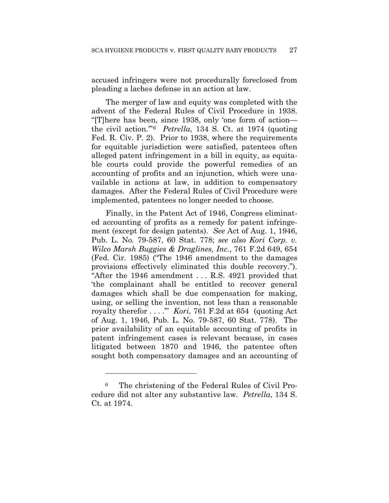accused infringers were not procedurally foreclosed from pleading a laches defense in an action at law.

The merger of law and equity was completed with the advent of the Federal Rules of Civil Procedure in 1938. "[T]here has been, since 1938, only 'one form of action the civil action.'"6 *Petrella*, 134 S. Ct. at 1974 (quoting Fed. R. Civ. P. 2). Prior to 1938, where the requirements for equitable jurisdiction were satisfied, patentees often alleged patent infringement in a bill in equity, as equitable courts could provide the powerful remedies of an accounting of profits and an injunction, which were unavailable in actions at law, in addition to compensatory damages. After the Federal Rules of Civil Procedure were implemented, patentees no longer needed to choose.

Finally, in the Patent Act of 1946, Congress eliminated accounting of profits as a remedy for patent infringement (except for design patents). *See* Act of Aug. 1, 1946, Pub. L. No. 79-587, 60 Stat. 778; *see also Kori Corp. v. Wilco Marsh Buggies & Draglines, Inc.*, 761 F.2d 649, 654 (Fed. Cir. 1985) ("The 1946 amendment to the damages provisions effectively eliminated this double recovery."). "After the 1946 amendment . . . R.S. 4921 provided that 'the complainant shall be entitled to recover general damages which shall be due compensation for making, using, or selling the invention, not less than a reasonable royalty therefor . . . .'" *Kori*, 761 F.2d at 654 (quoting Act of Aug. 1, 1946, Pub. L. No. 79-587, 60 Stat. 778). The prior availability of an equitable accounting of profits in patent infringement cases is relevant because, in cases litigated between 1870 and 1946, the patentee often sought both compensatory damages and an accounting of

<u>.</u>

<sup>6</sup> The christening of the Federal Rules of Civil Procedure did not alter any substantive law. *Petrella*, 134 S. Ct. at 1974.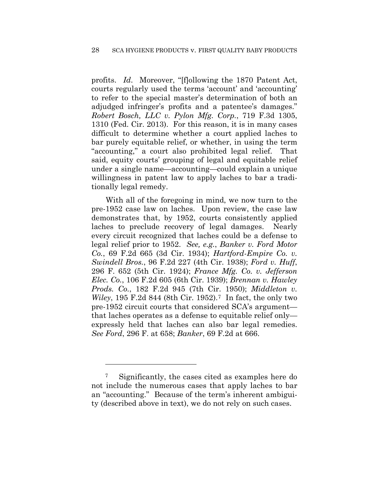profits. *Id*. Moreover, "[f]ollowing the 1870 Patent Act, courts regularly used the terms 'account' and 'accounting' to refer to the special master's determination of both an adjudged infringer's profits and a patentee's damages." *Robert Bosch, LLC v. Pylon Mfg. Corp.*, 719 F.3d 1305, 1310 (Fed. Cir. 2013). For this reason, it is in many cases difficult to determine whether a court applied laches to bar purely equitable relief, or whether, in using the term "accounting," a court also prohibited legal relief. That said, equity courts' grouping of legal and equitable relief under a single name—accounting—could explain a unique willingness in patent law to apply laches to bar a traditionally legal remedy.

With all of the foregoing in mind, we now turn to the pre-1952 case law on laches. Upon review, the case law demonstrates that, by 1952, courts consistently applied laches to preclude recovery of legal damages. Nearly every circuit recognized that laches could be a defense to legal relief prior to 1952. *See, e.g.*, *Banker v. Ford Motor Co.*, 69 F.2d 665 (3d Cir. 1934); *Hartford-Empire Co. v. Swindell Bros.*, 96 F.2d 227 (4th Cir. 1938); *Ford v. Huff*, 296 F. 652 (5th Cir. 1924); *France Mfg. Co. v. Jefferson Elec. Co.*, 106 F.2d 605 (6th Cir. 1939); *Brennan v. Hawley Prods. Co.*, 182 F.2d 945 (7th Cir. 1950); *Middleton v. Wiley*, 195 F.2d 844 (8th Cir. 1952).7 In fact, the only two pre-1952 circuit courts that considered SCA's argument that laches operates as a defense to equitable relief only expressly held that laches can also bar legal remedies. *See Ford*, 296 F. at 658; *Banker*, 69 F.2d at 666.

1

<sup>7</sup> Significantly, the cases cited as examples here do not include the numerous cases that apply laches to bar an "accounting." Because of the term's inherent ambiguity (described above in text), we do not rely on such cases.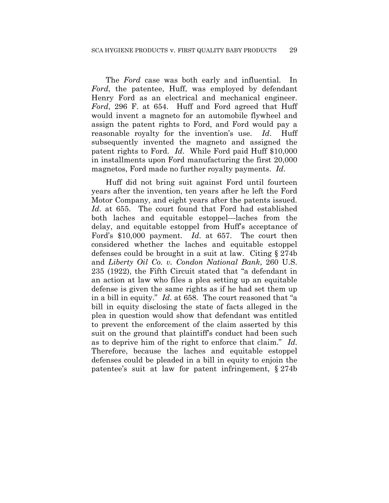The *Ford* case was both early and influential. In *Ford*, the patentee, Huff, was employed by defendant Henry Ford as an electrical and mechanical engineer. *Ford*, 296 F. at 654. Huff and Ford agreed that Huff would invent a magneto for an automobile flywheel and assign the patent rights to Ford, and Ford would pay a reasonable royalty for the invention's use. *Id*. Huff subsequently invented the magneto and assigned the patent rights to Ford. *Id*. While Ford paid Huff \$10,000 in installments upon Ford manufacturing the first 20,000 magnetos, Ford made no further royalty payments. *Id*.

Huff did not bring suit against Ford until fourteen years after the invention, ten years after he left the Ford Motor Company, and eight years after the patents issued. *Id*. at 655. The court found that Ford had established both laches and equitable estoppel—laches from the delay, and equitable estoppel from Huff's acceptance of Ford's \$10,000 payment. *Id*. at 657. The court then considered whether the laches and equitable estoppel defenses could be brought in a suit at law. Citing § 274b and *Liberty Oil Co. v. Condon National Bank*, 260 U.S. 235 (1922), the Fifth Circuit stated that "a defendant in an action at law who files a plea setting up an equitable defense is given the same rights as if he had set them up in a bill in equity." *Id*. at 658. The court reasoned that "a bill in equity disclosing the state of facts alleged in the plea in question would show that defendant was entitled to prevent the enforcement of the claim asserted by this suit on the ground that plaintiff's conduct had been such as to deprive him of the right to enforce that claim." *Id*. Therefore, because the laches and equitable estoppel defenses could be pleaded in a bill in equity to enjoin the patentee's suit at law for patent infringement, § 274b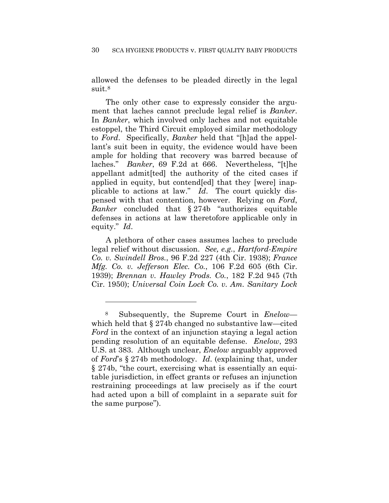allowed the defenses to be pleaded directly in the legal suit.8

The only other case to expressly consider the argument that laches cannot preclude legal relief is *Banker*. In *Banker*, which involved only laches and not equitable estoppel, the Third Circuit employed similar methodology to *Ford*. Specifically, *Banker* held that "[h]ad the appellant's suit been in equity, the evidence would have been ample for holding that recovery was barred because of laches." *Banker*, 69 F.2d at 666. Nevertheless, "[t]he appellant admit[ted] the authority of the cited cases if applied in equity, but contend[ed] that they [were] inapplicable to actions at law." *Id*. The court quickly dispensed with that contention, however. Relying on *Ford*, *Banker* concluded that § 274b "authorizes equitable defenses in actions at law theretofore applicable only in equity." *Id*.

A plethora of other cases assumes laches to preclude legal relief without discussion. *See, e.g.*, *Hartford-Empire Co. v. Swindell Bros.*, 96 F.2d 227 (4th Cir. 1938); *France Mfg. Co. v. Jefferson Elec. Co.*, 106 F.2d 605 (6th Cir. 1939); *Brennan v. Hawley Prods. Co.*, 182 F.2d 945 (7th Cir. 1950); *Universal Coin Lock Co. v. Am. Sanitary Lock* 

<u>.</u>

<sup>8</sup> Subsequently, the Supreme Court in *Enelow* which held that § 274b changed no substantive law—cited *Ford* in the context of an injunction staying a legal action pending resolution of an equitable defense. *Enelow*, 293 U.S. at 383. Although unclear, *Enelow* arguably approved of *Ford*'s § 274b methodology. *Id*. (explaining that, under § 274b, "the court, exercising what is essentially an equitable jurisdiction, in effect grants or refuses an injunction restraining proceedings at law precisely as if the court had acted upon a bill of complaint in a separate suit for the same purpose").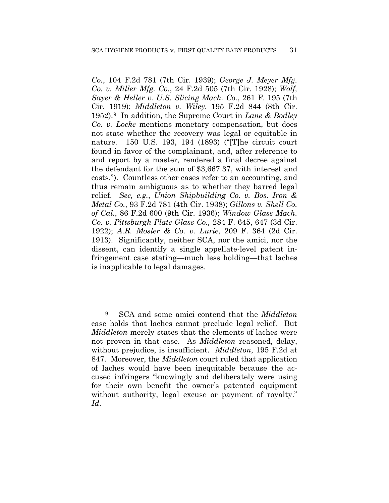*Co.*, 104 F.2d 781 (7th Cir. 1939); *George J. Meyer Mfg. Co. v. Miller Mfg. Co.*, 24 F.2d 505 (7th Cir. 1928); *Wolf, Sayer & Heller v. U.S. Slicing Mach. Co.*, 261 F. 195 (7th Cir. 1919); *Middleton v. Wiley*, 195 F.2d 844 (8th Cir. 1952).9 In addition, the Supreme Court in *Lane & Bodley Co. v. Locke* mentions monetary compensation, but does not state whether the recovery was legal or equitable in nature. 150 U.S. 193, 194 (1893) ("[T]he circuit court found in favor of the complainant, and, after reference to and report by a master, rendered a final decree against the defendant for the sum of \$3,667.37, with interest and costs."). Countless other cases refer to an accounting, and thus remain ambiguous as to whether they barred legal relief. *See, e.g.*, *Union Shipbuilding Co. v. Bos. Iron & Metal Co.*, 93 F.2d 781 (4th Cir. 1938); *Gillons v. Shell Co. of Cal.*, 86 F.2d 600 (9th Cir. 1936); *Window Glass Mach. Co. v. Pittsburgh Plate Glass Co.,* 284 F. 645, 647 (3d Cir. 1922); *A.R. Mosler & Co. v. Lurie*, 209 F. 364 (2d Cir. 1913). Significantly, neither SCA, nor the amici, nor the dissent, can identify a single appellate-level patent infringement case stating—much less holding—that laches is inapplicable to legal damages.

<u>.</u>

<sup>9</sup> SCA and some amici contend that the *Middleton* case holds that laches cannot preclude legal relief. But *Middleton* merely states that the elements of laches were not proven in that case. As *Middleton* reasoned, delay, without prejudice, is insufficient. *Middleton*, 195 F.2d at 847. Moreover, the *Middleton* court ruled that application of laches would have been inequitable because the accused infringers "knowingly and deliberately were using for their own benefit the owner's patented equipment without authority, legal excuse or payment of royalty." *Id*.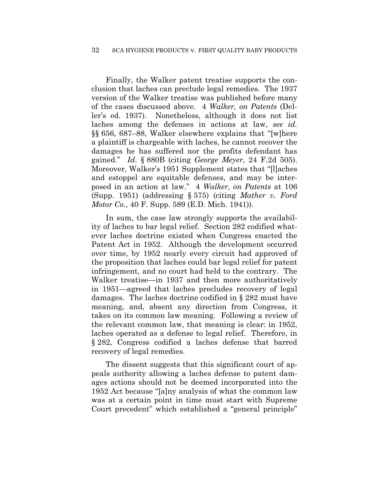Finally, the Walker patent treatise supports the conclusion that laches can preclude legal remedies. The 1937 version of the Walker treatise was published before many of the cases discussed above. 4 *Walker, on Patents* (Deller's ed. 1937). Nonetheless, although it does not list laches among the defenses in actions at law, *see id.* §§ 656, 687–88, Walker elsewhere explains that "[w]here a plaintiff is chargeable with laches, he cannot recover the damages he has suffered nor the profits defendant has gained." *Id*. § 880B (citing *George Meyer*, 24 F.2d 505). Moreover, Walker's 1951 Supplement states that "[l]aches and estoppel are equitable defenses, and may be interposed in an action at law." 4 *Walker, on Patents* at 106 (Supp. 1951) (addressing § 575) (citing *Mather v. Ford Motor Co.*, 40 F. Supp. 589 (E.D. Mich. 1941)).

In sum, the case law strongly supports the availability of laches to bar legal relief. Section 282 codified whatever laches doctrine existed when Congress enacted the Patent Act in 1952. Although the development occurred over time, by 1952 nearly every circuit had approved of the proposition that laches could bar legal relief for patent infringement, and no court had held to the contrary. The Walker treatise—in 1937 and then more authoritatively in 1951—agreed that laches precludes recovery of legal damages. The laches doctrine codified in § 282 must have meaning, and, absent any direction from Congress, it takes on its common law meaning. Following a review of the relevant common law, that meaning is clear: in 1952, laches operated as a defense to legal relief. Therefore, in § 282, Congress codified a laches defense that barred recovery of legal remedies.

The dissent suggests that this significant court of appeals authority allowing a laches defense to patent damages actions should not be deemed incorporated into the 1952 Act because "[a]ny analysis of what the common law was at a certain point in time must start with Supreme Court precedent" which established a "general principle"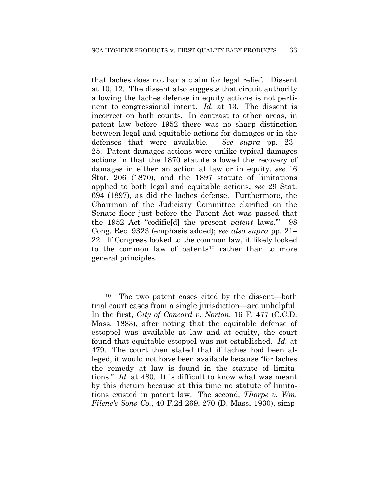that laches does not bar a claim for legal relief. Dissent at 10, 12. The dissent also suggests that circuit authority allowing the laches defense in equity actions is not pertinent to congressional intent. *Id.* at 13. The dissent is incorrect on both counts. In contrast to other areas, in patent law before 1952 there was no sharp distinction between legal and equitable actions for damages or in the defenses that were available. *See supra* pp. 23– 25. Patent damages actions were unlike typical damages actions in that the 1870 statute allowed the recovery of damages in either an action at law or in equity, *see* 16 Stat. 206 (1870), and the 1897 statute of limitations applied to both legal and equitable actions, *see* 29 Stat. 694 (1897), as did the laches defense. Furthermore, the Chairman of the Judiciary Committee clarified on the Senate floor just before the Patent Act was passed that the 1952 Act "codifie[d] the present *patent* laws.'" 98 Cong. Rec. 9323 (emphasis added); *see also supra* pp. 21– 22. If Congress looked to the common law, it likely looked to the common law of patents<sup>10</sup> rather than to more general principles.

1

<sup>10</sup> The two patent cases cited by the dissent—both trial court cases from a single jurisdiction—are unhelpful. In the first, *City of Concord v. Norton*, 16 F. 477 (C.C.D. Mass. 1883), after noting that the equitable defense of estoppel was available at law and at equity, the court found that equitable estoppel was not established. *Id.* at 479. The court then stated that if laches had been alleged, it would not have been available because "for laches the remedy at law is found in the statute of limitations." *Id.* at 480. It is difficult to know what was meant by this dictum because at this time no statute of limitations existed in patent law. The second, *Thorpe v. Wm. Filene's Sons Co.*, 40 F.2d 269, 270 (D. Mass. 1930), simp-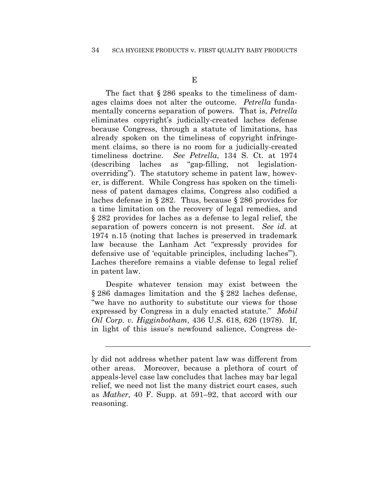The fact that  $\S 286$  speaks to the timeliness of damages claims does not alter the outcome. *Petrella* fundamentally concerns separation of powers. That is, *Petrella* eliminates copyright's judicially-created laches defense because Congress, through a statute of limitations, has already spoken on the timeliness of copyright infringement claims, so there is no room for a judicially-created timeliness doctrine. *See Petrella*, 134 S. Ct. at 1974 (describing laches as "gap-filling, not legislationoverriding"). The statutory scheme in patent law, however, is different. While Congress has spoken on the timeliness of patent damages claims, Congress also codified a laches defense in § 282. Thus, because § 286 provides for a time limitation on the recovery of legal remedies, and § 282 provides for laches as a defense to legal relief, the separation of powers concern is not present. *See id*. at 1974 n.15 (noting that laches is preserved in trademark law because the Lanham Act "expressly provides for defensive use of 'equitable principles, including laches'"). Laches therefore remains a viable defense to legal relief in patent law.

Despite whatever tension may exist between the § 286 damages limitation and the § 282 laches defense, "we have no authority to substitute our views for those expressed by Congress in a duly enacted statute." *Mobil Oil Corp. v. Higginbotham*, 436 U.S. 618, 626 (1978). If, in light of this issue's newfound salience, Congress de-

 $\overline{a}$ 

ly did not address whether patent law was different from other areas. Moreover, because a plethora of court of appeals-level case law concludes that laches may bar legal relief, we need not list the many district court cases, such as *Mather*, 40 F. Supp. at 591–92, that accord with our reasoning.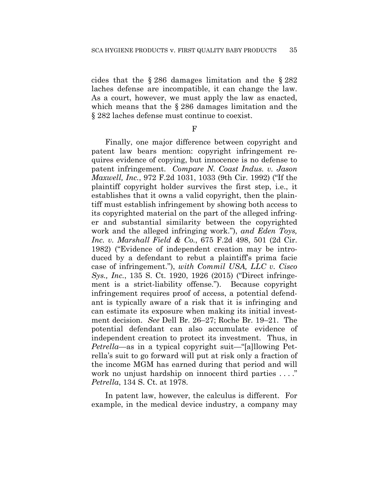cides that the § 286 damages limitation and the § 282 laches defense are incompatible, it can change the law. As a court, however, we must apply the law as enacted, which means that the § 286 damages limitation and the § 282 laches defense must continue to coexist.

 $F$ 

Finally, one major difference between copyright and patent law bears mention: copyright infringement requires evidence of copying, but innocence is no defense to patent infringement. *Compare N. Coast Indus. v. Jason Maxwell, Inc.*, 972 F.2d 1031, 1033 (9th Cir. 1992) ("If the plaintiff copyright holder survives the first step, i.e., it establishes that it owns a valid copyright, then the plaintiff must establish infringement by showing both access to its copyrighted material on the part of the alleged infringer and substantial similarity between the copyrighted work and the alleged infringing work."), *and Eden Toys, Inc. v. Marshall Field & Co.*, 675 F.2d 498, 501 (2d Cir. 1982) ("Evidence of independent creation may be introduced by a defendant to rebut a plaintiff's prima facie case of infringement."), *with Commil USA, LLC v. Cisco Sys., Inc.*, 135 S. Ct. 1920, 1926 (2015) ("Direct infringement is a strict-liability offense."). Because copyright infringement requires proof of access, a potential defendant is typically aware of a risk that it is infringing and can estimate its exposure when making its initial investment decision. *See* Dell Br. 26–27; Roche Br. 19–21. The potential defendant can also accumulate evidence of independent creation to protect its investment. Thus, in *Petrella*—as in a typical copyright suit—"[a]llowing Petrella's suit to go forward will put at risk only a fraction of the income MGM has earned during that period and will work no unjust hardship on innocent third parties ...." *Petrella*, 134 S. Ct. at 1978.

In patent law, however, the calculus is different. For example, in the medical device industry, a company may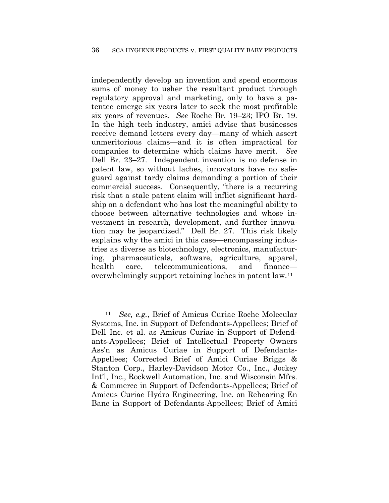independently develop an invention and spend enormous sums of money to usher the resultant product through regulatory approval and marketing, only to have a patentee emerge six years later to seek the most profitable six years of revenues. *See* Roche Br. 19–23; IPO Br. 19. In the high tech industry, amici advise that businesses receive demand letters every day—many of which assert unmeritorious claims—and it is often impractical for companies to determine which claims have merit. *See* Dell Br. 23–27. Independent invention is no defense in patent law, so without laches, innovators have no safeguard against tardy claims demanding a portion of their commercial success. Consequently, "there is a recurring risk that a stale patent claim will inflict significant hardship on a defendant who has lost the meaningful ability to choose between alternative technologies and whose investment in research, development, and further innovation may be jeopardized." Dell Br. 27. This risk likely explains why the amici in this case—encompassing industries as diverse as biotechnology, electronics, manufacturing, pharmaceuticals, software, agriculture, apparel, health care, telecommunications, and finance overwhelmingly support retaining laches in patent law.11

<u>.</u>

<sup>11</sup> *See, e.g.*, Brief of Amicus Curiae Roche Molecular Systems, Inc. in Support of Defendants-Appellees; Brief of Dell Inc. et al. as Amicus Curiae in Support of Defendants-Appellees; Brief of Intellectual Property Owners Ass'n as Amicus Curiae in Support of Defendants-Appellees; Corrected Brief of Amici Curiae Briggs & Stanton Corp., Harley-Davidson Motor Co., Inc., Jockey Int'l, Inc., Rockwell Automation, Inc. and Wisconsin Mfrs. & Commerce in Support of Defendants-Appellees; Brief of Amicus Curiae Hydro Engineering, Inc. on Rehearing En Banc in Support of Defendants-Appellees; Brief of Amici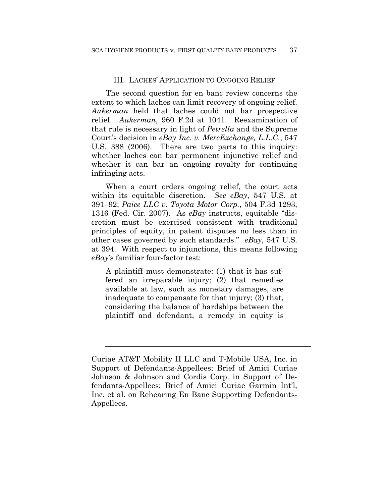#### III. LACHES' APPLICATION TO ONGOING RELIEF

The second question for en banc review concerns the extent to which laches can limit recovery of ongoing relief. *Aukerman* held that laches could not bar prospective relief. *Aukerman*, 960 F.2d at 1041. Reexamination of that rule is necessary in light of *Petrella* and the Supreme Court's decision in *eBay Inc. v. MercExchange, L.L.C.*, 547 U.S. 388 (2006). There are two parts to this inquiry: whether laches can bar permanent injunctive relief and whether it can bar an ongoing royalty for continuing infringing acts.

When a court orders ongoing relief, the court acts within its equitable discretion. *See eBay*, 547 U.S. at 391–92; *Paice LLC v. Toyota Motor Corp.*, 504 F.3d 1293, 1316 (Fed. Cir. 2007). As *eBay* instructs, equitable "discretion must be exercised consistent with traditional principles of equity, in patent disputes no less than in other cases governed by such standards." *eBay*, 547 U.S. at 394. With respect to injunctions, this means following *eBay*'s familiar four-factor test:

A plaintiff must demonstrate: (1) that it has suffered an irreparable injury; (2) that remedies available at law, such as monetary damages, are inadequate to compensate for that injury; (3) that, considering the balance of hardships between the plaintiff and defendant, a remedy in equity is

 $\overline{a}$ 

Curiae AT&T Mobility II LLC and T-Mobile USA, Inc. in Support of Defendants-Appellees; Brief of Amici Curiae Johnson & Johnson and Cordis Corp. in Support of Defendants-Appellees; Brief of Amici Curiae Garmin Int'l, Inc. et al. on Rehearing En Banc Supporting Defendants-Appellees.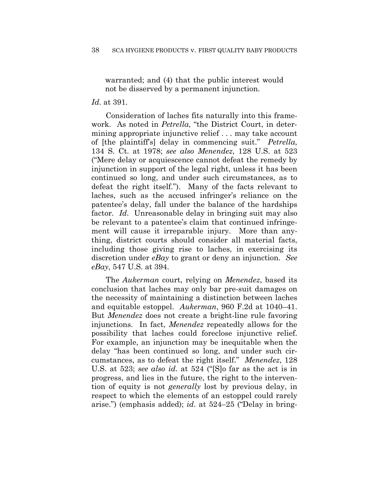warranted; and (4) that the public interest would not be disserved by a permanent injunction.

## *Id*. at 391.

Consideration of laches fits naturally into this framework. As noted in *Petrella*, "the District Court, in determining appropriate injunctive relief . . . may take account of [the plaintiff's] delay in commencing suit." *Petrella*, 134 S. Ct. at 1978; *see also Menendez*, 128 U.S. at 523 ("Mere delay or acquiescence cannot defeat the remedy by injunction in support of the legal right, unless it has been continued so long, and under such circumstances, as to defeat the right itself."). Many of the facts relevant to laches, such as the accused infringer's reliance on the patentee's delay, fall under the balance of the hardships factor. *Id*. Unreasonable delay in bringing suit may also be relevant to a patentee's claim that continued infringement will cause it irreparable injury. More than anything, district courts should consider all material facts, including those giving rise to laches, in exercising its discretion under *eBay* to grant or deny an injunction. *See eBay*, 547 U.S. at 394.

The *Aukerman* court, relying on *Menendez*, based its conclusion that laches may only bar pre-suit damages on the necessity of maintaining a distinction between laches and equitable estoppel. *Aukerman*, 960 F.2d at 1040–41. But *Menendez* does not create a bright-line rule favoring injunctions. In fact, *Menendez* repeatedly allows for the possibility that laches could foreclose injunctive relief. For example, an injunction may be inequitable when the delay "has been continued so long, and under such circumstances, as to defeat the right itself." *Menendez*, 128 U.S. at 523; *see also id*. at 524 ("[S]o far as the act is in progress, and lies in the future, the right to the intervention of equity is not *generally* lost by previous delay, in respect to which the elements of an estoppel could rarely arise.") (emphasis added); *id*. at 524–25 ("Delay in bring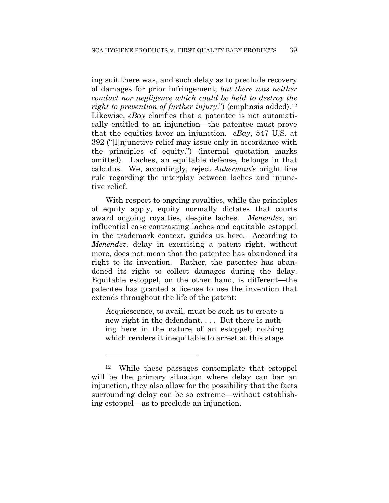ing suit there was, and such delay as to preclude recovery of damages for prior infringement; *but there was neither conduct nor negligence which could be held to destroy the right to prevention of further injury.*") (emphasis added).<sup>12</sup> Likewise, *eBay* clarifies that a patentee is not automatically entitled to an injunction—the patentee must prove that the equities favor an injunction. *eBay*, 547 U.S. at 392 ("[I]njunctive relief may issue only in accordance with the principles of equity.") (internal quotation marks omitted). Laches, an equitable defense, belongs in that calculus. We, accordingly, reject *Aukerman's* bright line rule regarding the interplay between laches and injunctive relief.

With respect to ongoing royalties, while the principles of equity apply, equity normally dictates that courts award ongoing royalties, despite laches. *Menendez*, an influential case contrasting laches and equitable estoppel in the trademark context, guides us here. According to *Menendez*, delay in exercising a patent right, without more, does not mean that the patentee has abandoned its right to its invention. Rather, the patentee has abandoned its right to collect damages during the delay. Equitable estoppel, on the other hand, is different—the patentee has granted a license to use the invention that extends throughout the life of the patent:

Acquiescence, to avail, must be such as to create a new right in the defendant.... But there is nothing here in the nature of an estoppel; nothing which renders it inequitable to arrest at this stage

<u>.</u>

<sup>12</sup> While these passages contemplate that estoppel will be the primary situation where delay can bar an injunction, they also allow for the possibility that the facts surrounding delay can be so extreme—without establishing estoppel—as to preclude an injunction.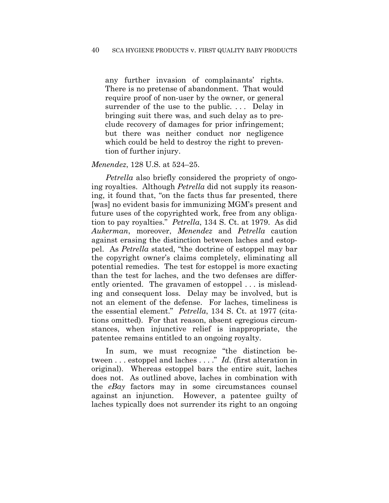any further invasion of complainants' rights. There is no pretense of abandonment. That would require proof of non-user by the owner, or general surrender of the use to the public. ... Delay in bringing suit there was, and such delay as to preclude recovery of damages for prior infringement; but there was neither conduct nor negligence which could be held to destroy the right to prevention of further injury.

#### *Menendez*, 128 U.S. at 524–25.

*Petrella* also briefly considered the propriety of ongoing royalties. Although *Petrella* did not supply its reasoning, it found that, "on the facts thus far presented, there [was] no evident basis for immunizing MGM's present and future uses of the copyrighted work, free from any obligation to pay royalties." *Petrella*, 134 S. Ct. at 1979. As did *Aukerman*, moreover, *Menendez* and *Petrella* caution against erasing the distinction between laches and estoppel. As *Petrella* stated, "the doctrine of estoppel may bar the copyright owner's claims completely, eliminating all potential remedies. The test for estoppel is more exacting than the test for laches, and the two defenses are differently oriented. The gravamen of estoppel . . . is misleading and consequent loss. Delay may be involved, but is not an element of the defense. For laches, timeliness is the essential element." *Petrella*, 134 S. Ct. at 1977 (citations omitted). For that reason, absent egregious circumstances, when injunctive relief is inappropriate, the patentee remains entitled to an ongoing royalty.

In sum, we must recognize "the distinction between . . . estoppel and laches . . . ." *Id*. (first alteration in original). Whereas estoppel bars the entire suit, laches does not. As outlined above, laches in combination with the *eBay* factors may in some circumstances counsel against an injunction. However, a patentee guilty of laches typically does not surrender its right to an ongoing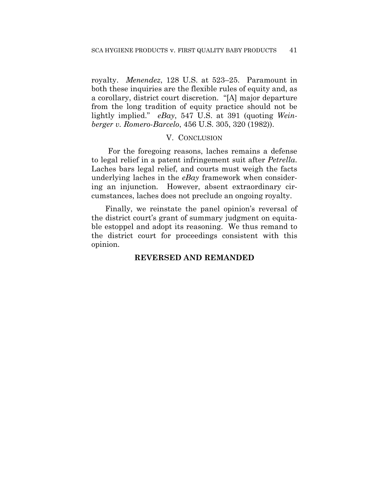royalty. *Menendez*, 128 U.S. at 523–25. Paramount in both these inquiries are the flexible rules of equity and, as a corollary, district court discretion. "[A] major departure from the long tradition of equity practice should not be lightly implied." *eBay*, 547 U.S. at 391 (quoting *Weinberger v. Romero-Barcelo*, 456 U.S. 305, 320 (1982)).

## V. CONCLUSION

For the foregoing reasons, laches remains a defense to legal relief in a patent infringement suit after *Petrella*. Laches bars legal relief, and courts must weigh the facts underlying laches in the *eBay* framework when considering an injunction. However, absent extraordinary circumstances, laches does not preclude an ongoing royalty.

Finally, we reinstate the panel opinion's reversal of the district court's grant of summary judgment on equitable estoppel and adopt its reasoning. We thus remand to the district court for proceedings consistent with this opinion.

## **REVERSED AND REMANDED**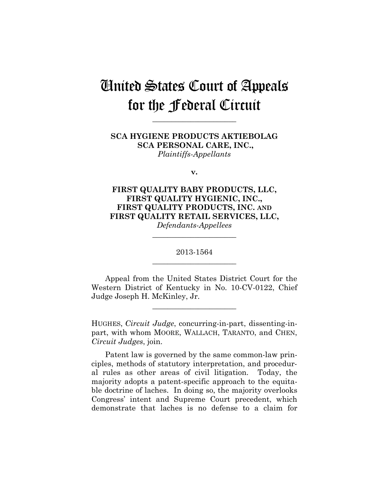# United States Court of Appeals for the Federal Circuit

**\_\_\_\_\_\_\_\_\_\_\_\_\_\_\_\_\_\_\_\_\_\_** 

**SCA HYGIENE PRODUCTS AKTIEBOLAG SCA PERSONAL CARE, INC.,** *Plaintiffs-Appellants*

**v.**

**FIRST QUALITY BABY PRODUCTS, LLC, FIRST QUALITY HYGIENIC, INC., FIRST QUALITY PRODUCTS, INC. AND FIRST QUALITY RETAIL SERVICES, LLC,** *Defendants-Appellees*

> 2013-1564 **\_\_\_\_\_\_\_\_\_\_\_\_\_\_\_\_\_\_\_\_\_\_**

> **\_\_\_\_\_\_\_\_\_\_\_\_\_\_\_\_\_\_\_\_\_\_**

Appeal from the United States District Court for the Western District of Kentucky in No. 10-CV-0122, Chief Judge Joseph H. McKinley, Jr.

**\_\_\_\_\_\_\_\_\_\_\_\_\_\_\_\_\_\_\_\_\_\_** 

HUGHES, *Circuit Judge*, concurring-in-part, dissenting-inpart, with whom MOORE, WALLACH, TARANTO, and CHEN, *Circuit Judges*, join.

Patent law is governed by the same common-law principles, methods of statutory interpretation, and procedural rules as other areas of civil litigation. Today, the majority adopts a patent-specific approach to the equitable doctrine of laches. In doing so, the majority overlooks Congress' intent and Supreme Court precedent, which demonstrate that laches is no defense to a claim for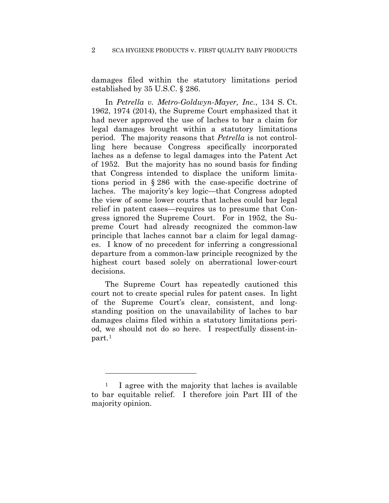damages filed within the statutory limitations period established by 35 U.S.C. § 286.

In *Petrella v. Metro-Goldwyn-Mayer, Inc.*, 134 S. Ct. 1962, 1974 (2014), the Supreme Court emphasized that it had never approved the use of laches to bar a claim for legal damages brought within a statutory limitations period. The majority reasons that *Petrella* is not controlling here because Congress specifically incorporated laches as a defense to legal damages into the Patent Act of 1952. But the majority has no sound basis for finding that Congress intended to displace the uniform limitations period in § 286 with the case-specific doctrine of laches. The majority's key logic—that Congress adopted the view of some lower courts that laches could bar legal relief in patent cases—requires us to presume that Congress ignored the Supreme Court. For in 1952, the Supreme Court had already recognized the common-law principle that laches cannot bar a claim for legal damages. I know of no precedent for inferring a congressional departure from a common-law principle recognized by the highest court based solely on aberrational lower-court decisions.

The Supreme Court has repeatedly cautioned this court not to create special rules for patent cases. In light of the Supreme Court's clear, consistent, and longstanding position on the unavailability of laches to bar damages claims filed within a statutory limitations period, we should not do so here. I respectfully dissent-inpart.1

<u>.</u>

<sup>1</sup> I agree with the majority that laches is available to bar equitable relief. I therefore join Part III of the majority opinion.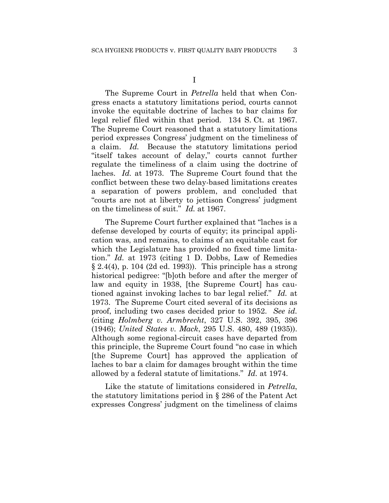I

The Supreme Court in *Petrella* held that when Congress enacts a statutory limitations period, courts cannot invoke the equitable doctrine of laches to bar claims for legal relief filed within that period. 134 S. Ct. at 1967. The Supreme Court reasoned that a statutory limitations period expresses Congress' judgment on the timeliness of a claim. *Id.* Because the statutory limitations period "itself takes account of delay," courts cannot further regulate the timeliness of a claim using the doctrine of laches. *Id.* at 1973. The Supreme Court found that the conflict between these two delay-based limitations creates a separation of powers problem, and concluded that "courts are not at liberty to jettison Congress' judgment on the timeliness of suit." *Id.* at 1967.

The Supreme Court further explained that "laches is a defense developed by courts of equity; its principal application was, and remains, to claims of an equitable cast for which the Legislature has provided no fixed time limitation." *Id.* at 1973 (citing 1 D. Dobbs, Law of Remedies  $\S 2.4(4)$ , p. 104 (2d ed. 1993)). This principle has a strong historical pedigree: "[b]oth before and after the merger of law and equity in 1938, [the Supreme Court] has cautioned against invoking laches to bar legal relief." *Id.* at 1973. The Supreme Court cited several of its decisions as proof, including two cases decided prior to 1952. *See id.* (citing *Holmberg v. Armbrecht*, 327 U.S. 392, 395, 396 (1946); *United States v. Mack*, 295 U.S. 480, 489 (1935)). Although some regional-circuit cases have departed from this principle, the Supreme Court found "no case in which [the Supreme Court] has approved the application of laches to bar a claim for damages brought within the time allowed by a federal statute of limitations." *Id.* at 1974.

Like the statute of limitations considered in *Petrella*, the statutory limitations period in § 286 of the Patent Act expresses Congress' judgment on the timeliness of claims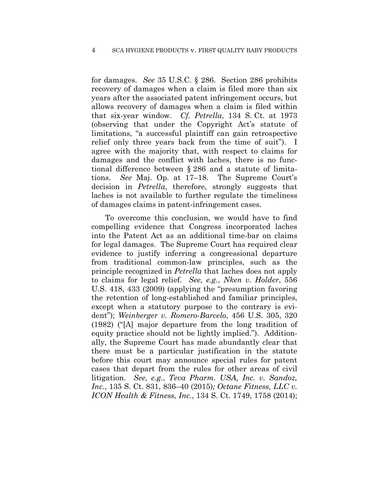#### 4 SCA HYGIENE PRODUCTS v. FIRST QUALITY BABY PRODUCTS

for damages. *See* 35 U.S.C. § 286. Section 286 prohibits recovery of damages when a claim is filed more than six years after the associated patent infringement occurs, but allows recovery of damages when a claim is filed within that six-year window. *Cf. Petrella*, 134 S. Ct. at 1973 (observing that under the Copyright Act's statute of limitations, "a successful plaintiff can gain retrospective relief only three years back from the time of suit"). I agree with the majority that, with respect to claims for damages and the conflict with laches, there is no functional difference between § 286 and a statute of limitations. *See* Maj. Op. at 17–18. The Supreme Court's decision in *Petrella*, therefore, strongly suggests that laches is not available to further regulate the timeliness of damages claims in patent-infringement cases.

To overcome this conclusion, we would have to find compelling evidence that Congress incorporated laches into the Patent Act as an additional time-bar on claims for legal damages. The Supreme Court has required clear evidence to justify inferring a congressional departure from traditional common-law principles, such as the principle recognized in *Petrella* that laches does not apply to claims for legal relief. *See, e.g.*, *Nken v. Holder*, 556 U.S. 418, 433 (2009) (applying the "presumption favoring the retention of long-established and familiar principles, except when a statutory purpose to the contrary is evident"); *Weinberger v. Romero-Barcelo*, 456 U.S. 305, 320 (1982) ("[A] major departure from the long tradition of equity practice should not be lightly implied."). Additionally, the Supreme Court has made abundantly clear that there must be a particular justification in the statute before this court may announce special rules for patent cases that depart from the rules for other areas of civil litigation. *See, e.g.*, *Teva Pharm. USA, Inc. v. Sandoz, Inc.*, 135 S. Ct. 831, 836–40 (2015)*; Octane Fitness, LLC v. ICON Health & Fitness, Inc.*, 134 S. Ct. 1749, 1758 (2014);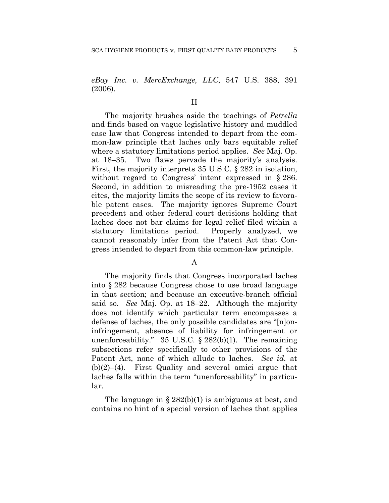*eBay Inc. v. MercExchange, LLC*, 547 U.S. 388, 391 (2006).

## II

The majority brushes aside the teachings of *Petrella* and finds based on vague legislative history and muddled case law that Congress intended to depart from the common-law principle that laches only bars equitable relief where a statutory limitations period applies. *See* Maj. Op. at 18–35. Two flaws pervade the majority's analysis. First, the majority interprets 35 U.S.C. § 282 in isolation, without regard to Congress' intent expressed in § 286. Second, in addition to misreading the pre-1952 cases it cites, the majority limits the scope of its review to favorable patent cases. The majority ignores Supreme Court precedent and other federal court decisions holding that laches does not bar claims for legal relief filed within a statutory limitations period. Properly analyzed, we cannot reasonably infer from the Patent Act that Congress intended to depart from this common-law principle.

### A

The majority finds that Congress incorporated laches into § 282 because Congress chose to use broad language in that section; and because an executive-branch official said so. *See* Maj. Op. at 18–22. Although the majority does not identify which particular term encompasses a defense of laches, the only possible candidates are "[n]oninfringement, absence of liability for infringement or unenforceability." 35 U.S.C. § 282(b)(1). The remaining subsections refer specifically to other provisions of the Patent Act, none of which allude to laches. *See id.* at (b)(2)–(4). First Quality and several amici argue that laches falls within the term "unenforceability" in particular.

The language in  $\S 282(b)(1)$  is ambiguous at best, and contains no hint of a special version of laches that applies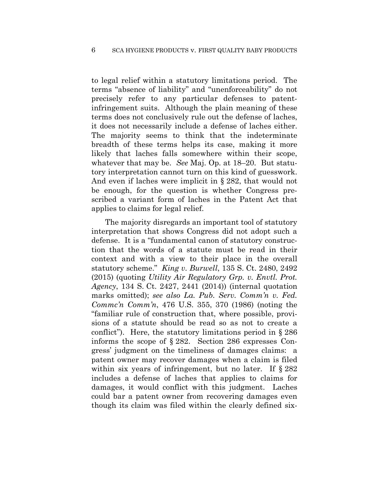to legal relief within a statutory limitations period. The terms "absence of liability" and "unenforceability" do not precisely refer to any particular defenses to patentinfringement suits. Although the plain meaning of these terms does not conclusively rule out the defense of laches, it does not necessarily include a defense of laches either. The majority seems to think that the indeterminate breadth of these terms helps its case, making it more likely that laches falls somewhere within their scope, whatever that may be. *See* Maj. Op. at 18–20. But statutory interpretation cannot turn on this kind of guesswork. And even if laches were implicit in § 282, that would not be enough, for the question is whether Congress prescribed a variant form of laches in the Patent Act that applies to claims for legal relief.

The majority disregards an important tool of statutory interpretation that shows Congress did not adopt such a defense. It is a "fundamental canon of statutory construction that the words of a statute must be read in their context and with a view to their place in the overall statutory scheme." *King v. Burwell*, 135 S. Ct. 2480, 2492 (2015) (quoting *Utility Air Regulatory Grp. v. Envtl. Prot. Agency*, 134 S. Ct. 2427, 2441 (2014)) (internal quotation marks omitted); *see also La. Pub. Serv. Comm'n v. Fed. Commc'n Comm'n*, 476 U.S. 355, 370 (1986) (noting the "familiar rule of construction that, where possible, provisions of a statute should be read so as not to create a conflict"). Here, the statutory limitations period in  $\S 286$ informs the scope of § 282. Section 286 expresses Congress' judgment on the timeliness of damages claims: a patent owner may recover damages when a claim is filed within six years of infringement, but no later. If  $\S 282$ includes a defense of laches that applies to claims for damages, it would conflict with this judgment. Laches could bar a patent owner from recovering damages even though its claim was filed within the clearly defined six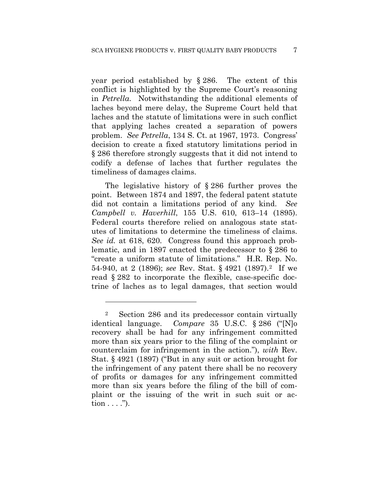year period established by § 286. The extent of this conflict is highlighted by the Supreme Court's reasoning in *Petrella*. Notwithstanding the additional elements of laches beyond mere delay, the Supreme Court held that laches and the statute of limitations were in such conflict that applying laches created a separation of powers problem. *See Petrella*, 134 S. Ct. at 1967, 1973. Congress' decision to create a fixed statutory limitations period in § 286 therefore strongly suggests that it did not intend to codify a defense of laches that further regulates the timeliness of damages claims.

The legislative history of § 286 further proves the point. Between 1874 and 1897, the federal patent statute did not contain a limitations period of any kind. *See Campbell v. Haverhill*, 155 U.S. 610, 613–14 (1895). Federal courts therefore relied on analogous state statutes of limitations to determine the timeliness of claims. *See id.* at 618, 620. Congress found this approach problematic, and in 1897 enacted the predecessor to § 286 to "create a uniform statute of limitations." H.R. Rep. No. 54-940, at 2 (1896); *see* Rev. Stat. § 4921 (1897).2 If we read § 282 to incorporate the flexible, case-specific doctrine of laches as to legal damages, that section would

<u>.</u>

<sup>2</sup> Section 286 and its predecessor contain virtually identical language. *Compare* 35 U.S.C. § 286 ("[N]o recovery shall be had for any infringement committed more than six years prior to the filing of the complaint or counterclaim for infringement in the action."), *with* Rev. Stat. § 4921 (1897) ("But in any suit or action brought for the infringement of any patent there shall be no recovery of profits or damages for any infringement committed more than six years before the filing of the bill of complaint or the issuing of the writ in such suit or ac- $\text{tion} \dots$ ").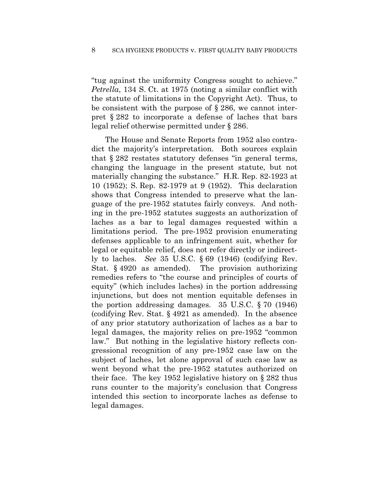"tug against the uniformity Congress sought to achieve." *Petrella*, 134 S. Ct. at 1975 (noting a similar conflict with the statute of limitations in the Copyright Act). Thus, to be consistent with the purpose of § 286, we cannot interpret § 282 to incorporate a defense of laches that bars legal relief otherwise permitted under § 286.

The House and Senate Reports from 1952 also contradict the majority's interpretation. Both sources explain that § 282 restates statutory defenses "in general terms, changing the language in the present statute, but not materially changing the substance." H.R. Rep. 82-1923 at 10 (1952); S. Rep. 82-1979 at 9 (1952). This declaration shows that Congress intended to preserve what the language of the pre-1952 statutes fairly conveys. And nothing in the pre-1952 statutes suggests an authorization of laches as a bar to legal damages requested within a limitations period. The pre-1952 provision enumerating defenses applicable to an infringement suit, whether for legal or equitable relief, does not refer directly or indirectly to laches. *See* 35 U.S.C. § 69 (1946) (codifying Rev. Stat. § 4920 as amended). The provision authorizing remedies refers to "the course and principles of courts of equity" (which includes laches) in the portion addressing injunctions, but does not mention equitable defenses in the portion addressing damages. 35 U.S.C. § 70 (1946) (codifying Rev. Stat. § 4921 as amended). In the absence of any prior statutory authorization of laches as a bar to legal damages, the majority relies on pre-1952 "common law." But nothing in the legislative history reflects congressional recognition of any pre-1952 case law on the subject of laches, let alone approval of such case law as went beyond what the pre-1952 statutes authorized on their face. The key 1952 legislative history on § 282 thus runs counter to the majority's conclusion that Congress intended this section to incorporate laches as defense to legal damages.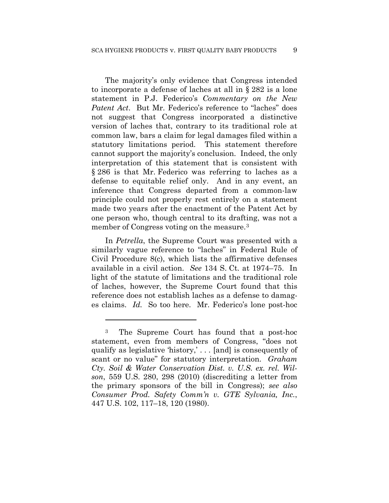The majority's only evidence that Congress intended to incorporate a defense of laches at all in § 282 is a lone statement in P.J. Federico's *Commentary on the New Patent Act*. But Mr. Federico's reference to "laches" does not suggest that Congress incorporated a distinctive version of laches that, contrary to its traditional role at common law, bars a claim for legal damages filed within a statutory limitations period. This statement therefore cannot support the majority's conclusion. Indeed, the only interpretation of this statement that is consistent with § 286 is that Mr. Federico was referring to laches as a defense to equitable relief only. And in any event, an inference that Congress departed from a common-law principle could not properly rest entirely on a statement made two years after the enactment of the Patent Act by one person who, though central to its drafting, was not a member of Congress voting on the measure.3

In *Petrella*, the Supreme Court was presented with a similarly vague reference to "laches" in Federal Rule of Civil Procedure 8(c), which lists the affirmative defenses available in a civil action. *See* 134 S. Ct. at 1974–75. In light of the statute of limitations and the traditional role of laches, however, the Supreme Court found that this reference does not establish laches as a defense to damages claims. *Id.* So too here. Mr. Federico's lone post-hoc

<u>.</u>

<sup>3</sup> The Supreme Court has found that a post-hoc statement, even from members of Congress, "does not qualify as legislative 'history,' . . . [and] is consequently of scant or no value" for statutory interpretation. *Graham Cty. Soil & Water Conservation Dist. v. U.S. ex. rel. Wilson*, 559 U.S. 280, 298 (2010) (discrediting a letter from the primary sponsors of the bill in Congress); *see also Consumer Prod. Safety Comm'n v. GTE Sylvania, Inc.*, 447 U.S. 102, 117–18, 120 (1980).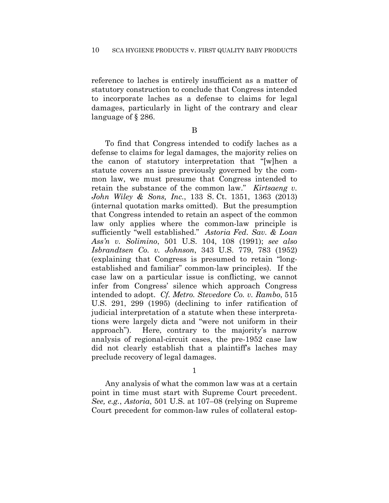reference to laches is entirely insufficient as a matter of statutory construction to conclude that Congress intended to incorporate laches as a defense to claims for legal damages, particularly in light of the contrary and clear language of § 286.

B

To find that Congress intended to codify laches as a defense to claims for legal damages, the majority relies on the canon of statutory interpretation that "[w]hen a statute covers an issue previously governed by the common law, we must presume that Congress intended to retain the substance of the common law." *Kirtsaeng v. John Wiley & Sons, Inc.*, 133 S. Ct. 1351, 1363 (2013) (internal quotation marks omitted). But the presumption that Congress intended to retain an aspect of the common law only applies where the common-law principle is sufficiently "well established." *Astoria Fed. Sav. & Loan Ass'n v. Solimino*, 501 U.S. 104, 108 (1991); *see also Isbrandtsen Co. v. Johnson*, 343 U.S. 779, 783 (1952) (explaining that Congress is presumed to retain "longestablished and familiar" common-law principles). If the case law on a particular issue is conflicting, we cannot infer from Congress' silence which approach Congress intended to adopt. *Cf. Metro. Stevedore Co. v. Rambo*, 515 U.S. 291, 299 (1995) (declining to infer ratification of judicial interpretation of a statute when these interpretations were largely dicta and "were not uniform in their approach"). Here, contrary to the majority's narrow analysis of regional-circuit cases, the pre-1952 case law did not clearly establish that a plaintiff's laches may preclude recovery of legal damages.

1

Any analysis of what the common law was at a certain point in time must start with Supreme Court precedent. *See, e.g.*, *Astoria*, 501 U.S. at 107–08 (relying on Supreme Court precedent for common-law rules of collateral estop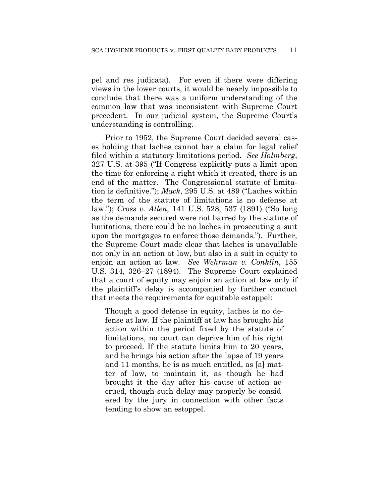pel and res judicata). For even if there were differing views in the lower courts, it would be nearly impossible to conclude that there was a uniform understanding of the common law that was inconsistent with Supreme Court precedent. In our judicial system, the Supreme Court's understanding is controlling.

Prior to 1952, the Supreme Court decided several cases holding that laches cannot bar a claim for legal relief filed within a statutory limitations period. *See Holmberg*, 327 U.S. at 395 ("If Congress explicitly puts a limit upon the time for enforcing a right which it created, there is an end of the matter. The Congressional statute of limitation is definitive."); *Mack*, 295 U.S. at 489 ("Laches within the term of the statute of limitations is no defense at law."); *Cross v. Allen*, 141 U.S. 528, 537 (1891) ("So long as the demands secured were not barred by the statute of limitations, there could be no laches in prosecuting a suit upon the mortgages to enforce those demands."). Further, the Supreme Court made clear that laches is unavailable not only in an action at law, but also in a suit in equity to enjoin an action at law. *See Wehrman v. Conklin*, 155 U.S. 314, 326–27 (1894). The Supreme Court explained that a court of equity may enjoin an action at law only if the plaintiff's delay is accompanied by further conduct that meets the requirements for equitable estoppel:

Though a good defense in equity, laches is no defense at law. If the plaintiff at law has brought his action within the period fixed by the statute of limitations, no court can deprive him of his right to proceed. If the statute limits him to 20 years, and he brings his action after the lapse of 19 years and 11 months, he is as much entitled, as [a] matter of law, to maintain it, as though he had brought it the day after his cause of action accrued, though such delay may properly be considered by the jury in connection with other facts tending to show an estoppel.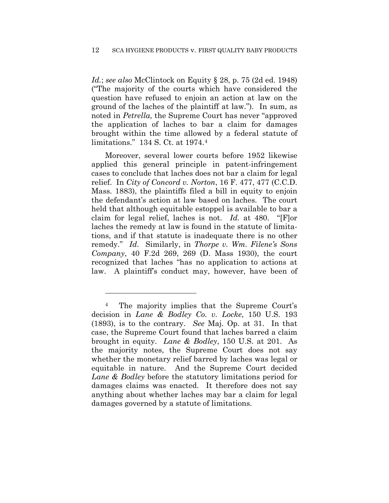*Id.*; *see also* McClintock on Equity § 28, p. 75 (2d ed. 1948) ("The majority of the courts which have considered the question have refused to enjoin an action at law on the ground of the laches of the plaintiff at law."). In sum, as noted in *Petrella*, the Supreme Court has never "approved the application of laches to bar a claim for damages brought within the time allowed by a federal statute of limitations." 134 S. Ct. at 1974.4

Moreover, several lower courts before 1952 likewise applied this general principle in patent-infringement cases to conclude that laches does not bar a claim for legal relief. In *City of Concord v. Norton*, 16 F. 477, 477 (C.C.D. Mass. 1883), the plaintiffs filed a bill in equity to enjoin the defendant's action at law based on laches. The court held that although equitable estoppel is available to bar a claim for legal relief, laches is not. *Id.* at 480. "[F]or laches the remedy at law is found in the statute of limitations, and if that statute is inadequate there is no other remedy." *Id*. Similarly, in *Thorpe v. Wm. Filene's Sons Company*, 40 F.2d 269, 269 (D. Mass 1930), the court recognized that laches "has no application to actions at law. A plaintiff's conduct may, however, have been of

<u>.</u>

<sup>4</sup> The majority implies that the Supreme Court's decision in *Lane & Bodley Co. v. Locke*, 150 U.S. 193 (1893), is to the contrary. *See* Maj. Op. at 31. In that case, the Supreme Court found that laches barred a claim brought in equity. *Lane & Bodley*, 150 U.S. at 201. As the majority notes, the Supreme Court does not say whether the monetary relief barred by laches was legal or equitable in nature. And the Supreme Court decided *Lane & Bodley* before the statutory limitations period for damages claims was enacted. It therefore does not say anything about whether laches may bar a claim for legal damages governed by a statute of limitations.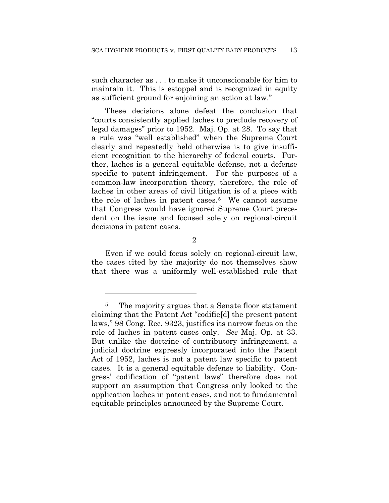such character as . . . to make it unconscionable for him to maintain it. This is estoppel and is recognized in equity as sufficient ground for enjoining an action at law."

These decisions alone defeat the conclusion that "courts consistently applied laches to preclude recovery of legal damages" prior to 1952. Maj. Op. at 28. To say that a rule was "well established" when the Supreme Court clearly and repeatedly held otherwise is to give insufficient recognition to the hierarchy of federal courts. Further, laches is a general equitable defense, not a defense specific to patent infringement. For the purposes of a common-law incorporation theory, therefore, the role of laches in other areas of civil litigation is of a piece with the role of laches in patent cases.<sup>5</sup> We cannot assume that Congress would have ignored Supreme Court precedent on the issue and focused solely on regional-circuit decisions in patent cases.

2

Even if we could focus solely on regional-circuit law, the cases cited by the majority do not themselves show that there was a uniformly well-established rule that

<u>.</u>

<sup>&</sup>lt;sup>5</sup> The majority argues that a Senate floor statement claiming that the Patent Act "codifie[d] the present patent laws," 98 Cong. Rec. 9323, justifies its narrow focus on the role of laches in patent cases only. *See* Maj. Op. at 33. But unlike the doctrine of contributory infringement, a judicial doctrine expressly incorporated into the Patent Act of 1952, laches is not a patent law specific to patent cases. It is a general equitable defense to liability. Congress' codification of "patent laws" therefore does not support an assumption that Congress only looked to the application laches in patent cases, and not to fundamental equitable principles announced by the Supreme Court.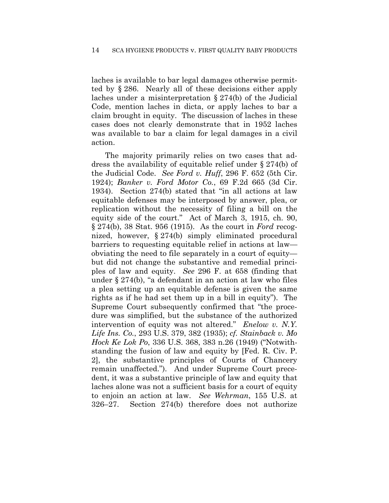laches is available to bar legal damages otherwise permitted by § 286. Nearly all of these decisions either apply laches under a misinterpretation § 274(b) of the Judicial Code, mention laches in dicta, or apply laches to bar a claim brought in equity. The discussion of laches in these cases does not clearly demonstrate that in 1952 laches was available to bar a claim for legal damages in a civil action.

The majority primarily relies on two cases that address the availability of equitable relief under § 274(b) of the Judicial Code. *See Ford v. Huff*, 296 F. 652 (5th Cir. 1924); *Banker v. Ford Motor Co.*, 69 F.2d 665 (3d Cir. 1934). Section 274(b) stated that "in all actions at law equitable defenses may be interposed by answer, plea, or replication without the necessity of filing a bill on the equity side of the court." Act of March 3, 1915, ch. 90, § 274(b), 38 Stat. 956 (1915). As the court in *Ford* recognized, however, § 274(b) simply eliminated procedural barriers to requesting equitable relief in actions at law obviating the need to file separately in a court of equity but did not change the substantive and remedial principles of law and equity. *See* 296 F. at 658 (finding that under § 274(b), "a defendant in an action at law who files a plea setting up an equitable defense is given the same rights as if he had set them up in a bill in equity"). The Supreme Court subsequently confirmed that "the procedure was simplified, but the substance of the authorized intervention of equity was not altered." *Enelow v. N.Y. Life Ins. Co.*, 293 U.S. 379, 382 (1935); *cf. Stainback v. Mo Hock Ke Lok Po*, 336 U.S. 368, 383 n.26 (1949) ("Notwithstanding the fusion of law and equity by [Fed. R. Civ. P. 2], the substantive principles of Courts of Chancery remain unaffected."). And under Supreme Court precedent, it was a substantive principle of law and equity that laches alone was not a sufficient basis for a court of equity to enjoin an action at law. *See Wehrman*, 155 U.S. at 326–27. Section 274(b) therefore does not authorize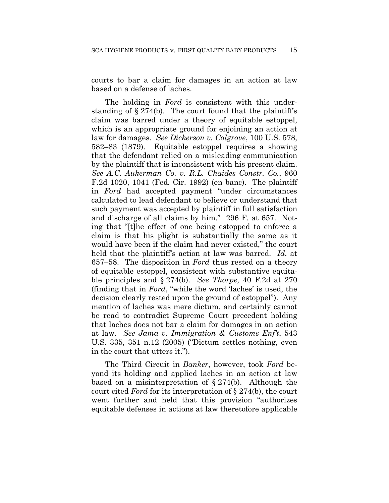courts to bar a claim for damages in an action at law based on a defense of laches.

The holding in *Ford* is consistent with this understanding of  $\S 274(b)$ . The court found that the plaintiff's claim was barred under a theory of equitable estoppel, which is an appropriate ground for enjoining an action at law for damages. *See Dickerson v. Colgrove*, 100 U.S. 578, 582–83 (1879). Equitable estoppel requires a showing that the defendant relied on a misleading communication by the plaintiff that is inconsistent with his present claim. *See A.C. Aukerman Co. v. R.L. Chaides Constr. Co.*, 960 F.2d 1020, 1041 (Fed. Cir. 1992) (en banc). The plaintiff in *Ford* had accepted payment "under circumstances calculated to lead defendant to believe or understand that such payment was accepted by plaintiff in full satisfaction and discharge of all claims by him." 296 F. at 657. Noting that "[t]he effect of one being estopped to enforce a claim is that his plight is substantially the same as it would have been if the claim had never existed," the court held that the plaintiff's action at law was barred. *Id.* at 657–58. The disposition in *Ford* thus rested on a theory of equitable estoppel, consistent with substantive equitable principles and § 274(b). *See Thorpe*, 40 F.2d at 270 (finding that in *Ford*, "while the word 'laches' is used, the decision clearly rested upon the ground of estoppel"). Any mention of laches was mere dictum, and certainly cannot be read to contradict Supreme Court precedent holding that laches does not bar a claim for damages in an action at law. *See Jama v. Immigration & Customs Enf't*, 543 U.S. 335, 351 n.12 (2005) ("Dictum settles nothing, even in the court that utters it.").

The Third Circuit in *Banker*, however, took *Ford* beyond its holding and applied laches in an action at law based on a misinterpretation of § 274(b). Although the court cited *Ford* for its interpretation of § 274(b), the court went further and held that this provision "authorizes equitable defenses in actions at law theretofore applicable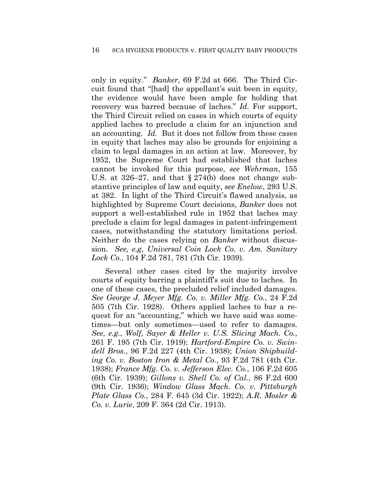only in equity." *Banker*, 69 F.2d at 666. The Third Circuit found that "[had] the appellant's suit been in equity, the evidence would have been ample for holding that recovery was barred because of laches." *Id.* For support, the Third Circuit relied on cases in which courts of equity applied laches to preclude a claim for an injunction and an accounting. *Id.* But it does not follow from these cases in equity that laches may also be grounds for enjoining a claim to legal damages in an action at law. Moreover, by 1952, the Supreme Court had established that laches cannot be invoked for this purpose, *see Wehrman*, 155 U.S. at 326–27, and that § 274(b) does not change substantive principles of law and equity, *see Enelow*, 293 U.S. at 382. In light of the Third Circuit's flawed analysis, as highlighted by Supreme Court decisions, *Banker* does not support a well-established rule in 1952 that laches may preclude a claim for legal damages in patent-infringement cases, notwithstanding the statutory limitations period. Neither do the cases relying on *Banker* without discussion. *See, e.g*, *Universal Coin Lock Co. v. Am. Sanitary Lock Co.*, 104 F.2d 781, 781 (7th Cir. 1939).

Several other cases cited by the majority involve courts of equity barring a plaintiff's suit due to laches. In one of these cases, the precluded relief included damages. *See George J. Meyer Mfg. Co. v. Miller Mfg. Co.*, 24 F.2d 505 (7th Cir. 1928). Others applied laches to bar a request for an "accounting," which we have said was sometimes—but only sometimes—used to refer to damages. *See, e.g.*, *Wolf, Sayer & Heller v. U.S. Slicing Mach. Co.*, 261 F. 195 (7th Cir. 1919); *Hartford-Empire Co. v. Swindell Bros.*, 96 F.2d 227 (4th Cir. 1938); *Union Shipbuilding Co. v. Boston Iron & Metal Co.*, 93 F.2d 781 (4th Cir. 1938); *France Mfg. Co. v. Jefferson Elec. Co.*, 106 F.2d 605 (6th Cir. 1939); *Gillons v. Shell Co. of Cal.*, 86 F.2d 600 (9th Cir. 1936); *Window Glass Mach. Co. v. Pittsburgh Plate Glass Co.*, 284 F. 645 (3d Cir. 1922); *A.R. Mosler & Co. v. Lurie*, 209 F. 364 (2d Cir. 1913).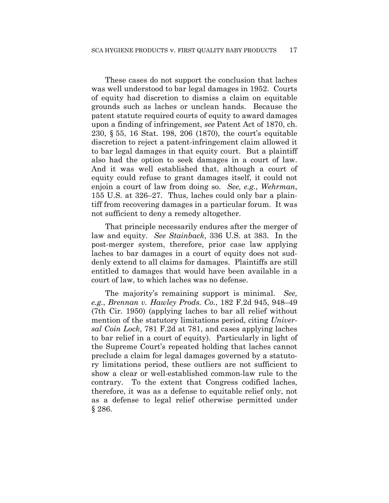These cases do not support the conclusion that laches was well understood to bar legal damages in 1952. Courts of equity had discretion to dismiss a claim on equitable grounds such as laches or unclean hands. Because the patent statute required courts of equity to award damages upon a finding of infringement, *see* Patent Act of 1870, ch. 230, § 55, 16 Stat. 198, 206 (1870), the court's equitable discretion to reject a patent-infringement claim allowed it to bar legal damages in that equity court. But a plaintiff also had the option to seek damages in a court of law. And it was well established that, although a court of equity could refuse to grant damages itself, it could not enjoin a court of law from doing so. *See, e.g.*, *Wehrman*, 155 U.S. at 326–27. Thus, laches could only bar a plaintiff from recovering damages in a particular forum. It was not sufficient to deny a remedy altogether.

That principle necessarily endures after the merger of law and equity. *See Stainback*, 336 U.S. at 383. In the post-merger system, therefore, prior case law applying laches to bar damages in a court of equity does not suddenly extend to all claims for damages. Plaintiffs are still entitled to damages that would have been available in a court of law, to which laches was no defense.

The majority's remaining support is minimal. *See, e.g.*, *Brennan v. Hawley Prods. Co.*, 182 F.2d 945, 948–49 (7th Cir. 1950) (applying laches to bar all relief without mention of the statutory limitations period, citing *Universal Coin Lock*, 781 F.2d at 781, and cases applying laches to bar relief in a court of equity). Particularly in light of the Supreme Court's repeated holding that laches cannot preclude a claim for legal damages governed by a statutory limitations period, these outliers are not sufficient to show a clear or well-established common-law rule to the contrary. To the extent that Congress codified laches, therefore, it was as a defense to equitable relief only, not as a defense to legal relief otherwise permitted under § 286.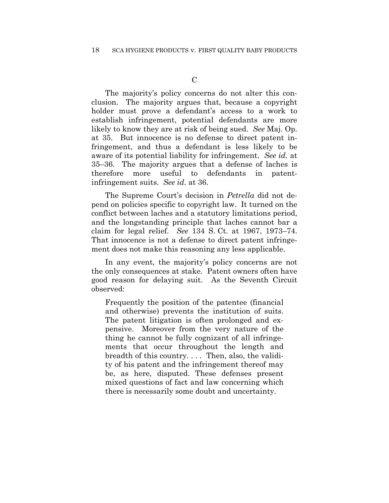The majority's policy concerns do not alter this conclusion. The majority argues that, because a copyright holder must prove a defendant's access to a work to establish infringement, potential defendants are more likely to know they are at risk of being sued. *See* Maj. Op. at 35. But innocence is no defense to direct patent infringement, and thus a defendant is less likely to be aware of its potential liability for infringement. *See id.* at 35–36*.* The majority argues that a defense of laches is therefore more useful to defendants in patentinfringement suits. *See id.* at 36.

The Supreme Court's decision in *Petrella* did not depend on policies specific to copyright law. It turned on the conflict between laches and a statutory limitations period, and the longstanding principle that laches cannot bar a claim for legal relief. *See* 134 S. Ct. at 1967, 1973–74. That innocence is not a defense to direct patent infringement does not make this reasoning any less applicable.

In any event, the majority's policy concerns are not the only consequences at stake. Patent owners often have good reason for delaying suit. As the Seventh Circuit observed:

Frequently the position of the patentee (financial and otherwise) prevents the institution of suits. The patent litigation is often prolonged and expensive. Moreover from the very nature of the thing he cannot be fully cognizant of all infringements that occur throughout the length and breadth of this country. . . . Then, also, the validity of his patent and the infringement thereof may be, as here, disputed. These defenses present mixed questions of fact and law concerning which there is necessarily some doubt and uncertainty.